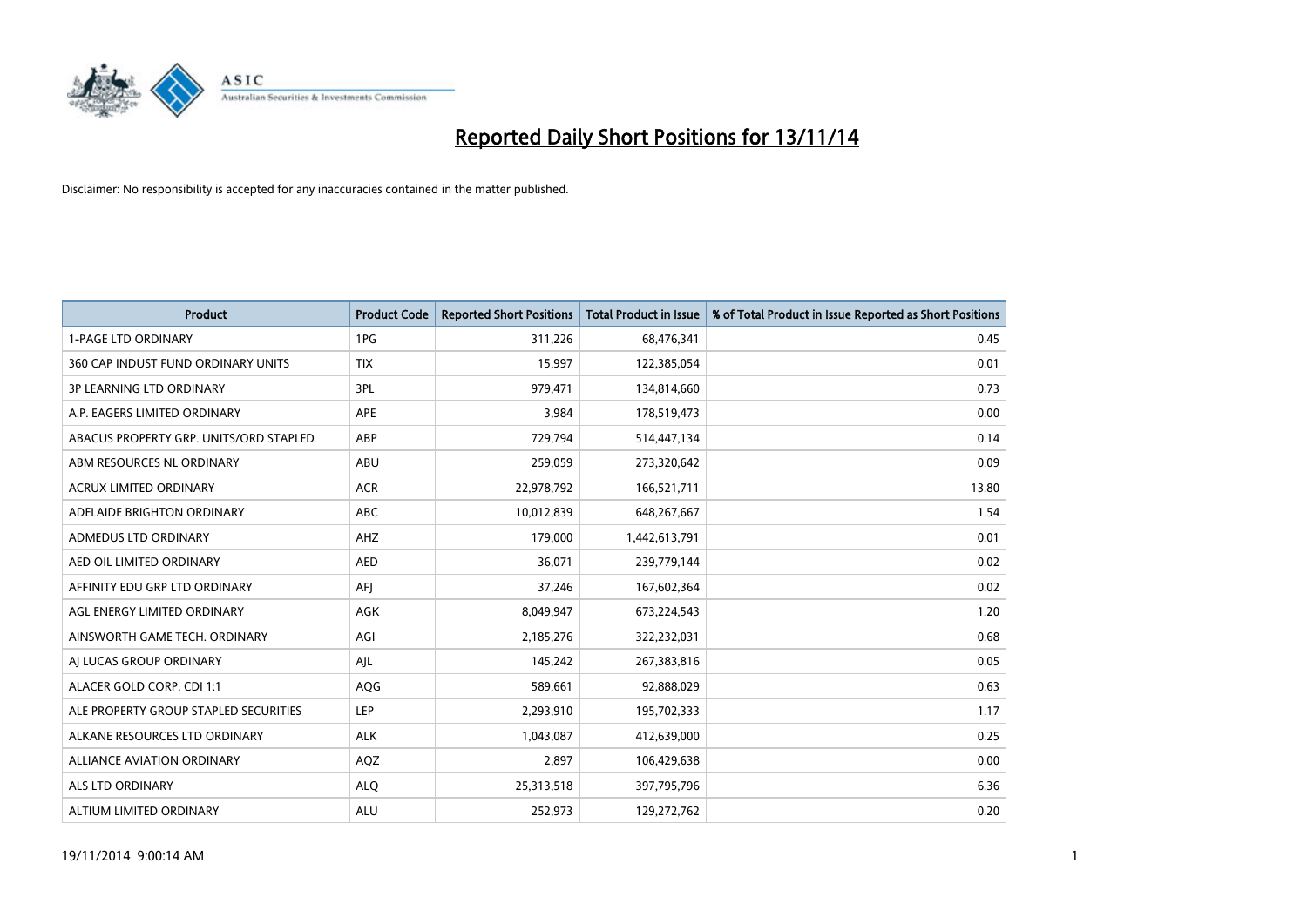

| <b>Product</b>                         | <b>Product Code</b> | <b>Reported Short Positions</b> | <b>Total Product in Issue</b> | % of Total Product in Issue Reported as Short Positions |
|----------------------------------------|---------------------|---------------------------------|-------------------------------|---------------------------------------------------------|
| <b>1-PAGE LTD ORDINARY</b>             | 1PG                 | 311,226                         | 68,476,341                    | 0.45                                                    |
| 360 CAP INDUST FUND ORDINARY UNITS     | <b>TIX</b>          | 15,997                          | 122,385,054                   | 0.01                                                    |
| <b>3P LEARNING LTD ORDINARY</b>        | 3PL                 | 979,471                         | 134,814,660                   | 0.73                                                    |
| A.P. EAGERS LIMITED ORDINARY           | <b>APE</b>          | 3,984                           | 178,519,473                   | 0.00                                                    |
| ABACUS PROPERTY GRP. UNITS/ORD STAPLED | ABP                 | 729,794                         | 514,447,134                   | 0.14                                                    |
| ABM RESOURCES NL ORDINARY              | ABU                 | 259,059                         | 273,320,642                   | 0.09                                                    |
| <b>ACRUX LIMITED ORDINARY</b>          | <b>ACR</b>          | 22,978,792                      | 166,521,711                   | 13.80                                                   |
| ADELAIDE BRIGHTON ORDINARY             | <b>ABC</b>          | 10,012,839                      | 648,267,667                   | 1.54                                                    |
| ADMEDUS LTD ORDINARY                   | AHZ                 | 179,000                         | 1,442,613,791                 | 0.01                                                    |
| AED OIL LIMITED ORDINARY               | <b>AED</b>          | 36,071                          | 239,779,144                   | 0.02                                                    |
| AFFINITY EDU GRP LTD ORDINARY          | AFI                 | 37,246                          | 167,602,364                   | 0.02                                                    |
| AGL ENERGY LIMITED ORDINARY            | AGK                 | 8,049,947                       | 673,224,543                   | 1.20                                                    |
| AINSWORTH GAME TECH. ORDINARY          | AGI                 | 2,185,276                       | 322,232,031                   | 0.68                                                    |
| AI LUCAS GROUP ORDINARY                | AJL                 | 145,242                         | 267,383,816                   | 0.05                                                    |
| ALACER GOLD CORP. CDI 1:1              | AQG                 | 589,661                         | 92,888,029                    | 0.63                                                    |
| ALE PROPERTY GROUP STAPLED SECURITIES  | <b>LEP</b>          | 2,293,910                       | 195,702,333                   | 1.17                                                    |
| ALKANE RESOURCES LTD ORDINARY          | <b>ALK</b>          | 1,043,087                       | 412,639,000                   | 0.25                                                    |
| ALLIANCE AVIATION ORDINARY             | AQZ                 | 2,897                           | 106,429,638                   | 0.00                                                    |
| ALS LTD ORDINARY                       | <b>ALO</b>          | 25,313,518                      | 397,795,796                   | 6.36                                                    |
| ALTIUM LIMITED ORDINARY                | <b>ALU</b>          | 252,973                         | 129,272,762                   | 0.20                                                    |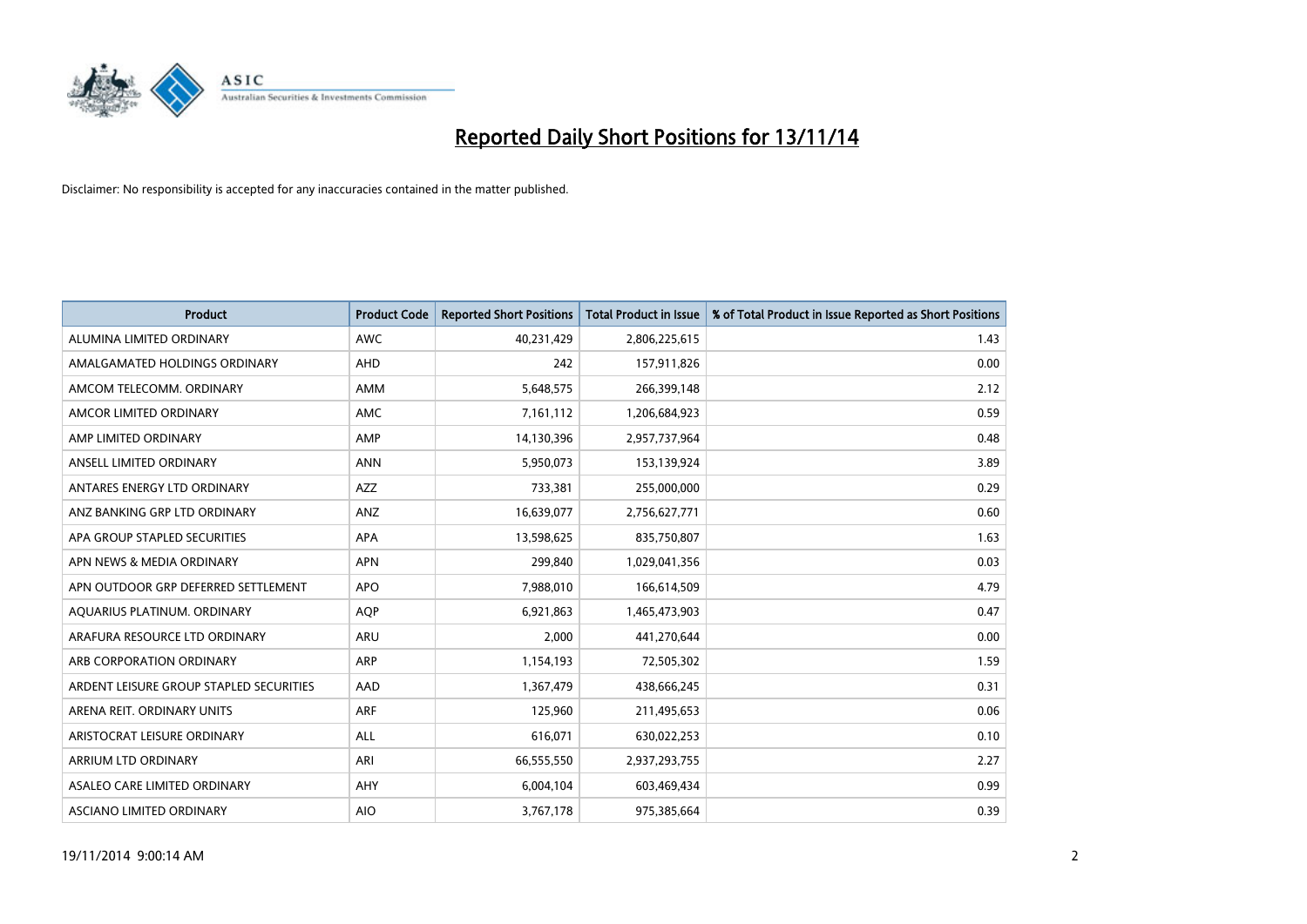

| <b>Product</b>                          | <b>Product Code</b> | <b>Reported Short Positions</b> | <b>Total Product in Issue</b> | % of Total Product in Issue Reported as Short Positions |
|-----------------------------------------|---------------------|---------------------------------|-------------------------------|---------------------------------------------------------|
| ALUMINA LIMITED ORDINARY                | <b>AWC</b>          | 40,231,429                      | 2,806,225,615                 | 1.43                                                    |
| AMALGAMATED HOLDINGS ORDINARY           | <b>AHD</b>          | 242                             | 157,911,826                   | 0.00                                                    |
| AMCOM TELECOMM. ORDINARY                | AMM                 | 5,648,575                       | 266,399,148                   | 2.12                                                    |
| AMCOR LIMITED ORDINARY                  | AMC                 | 7,161,112                       | 1,206,684,923                 | 0.59                                                    |
| AMP LIMITED ORDINARY                    | AMP                 | 14,130,396                      | 2,957,737,964                 | 0.48                                                    |
| ANSELL LIMITED ORDINARY                 | <b>ANN</b>          | 5,950,073                       | 153,139,924                   | 3.89                                                    |
| ANTARES ENERGY LTD ORDINARY             | AZZ                 | 733,381                         | 255,000,000                   | 0.29                                                    |
| ANZ BANKING GRP LTD ORDINARY            | ANZ                 | 16,639,077                      | 2,756,627,771                 | 0.60                                                    |
| APA GROUP STAPLED SECURITIES            | <b>APA</b>          | 13,598,625                      | 835,750,807                   | 1.63                                                    |
| APN NEWS & MEDIA ORDINARY               | <b>APN</b>          | 299,840                         | 1,029,041,356                 | 0.03                                                    |
| APN OUTDOOR GRP DEFERRED SETTLEMENT     | <b>APO</b>          | 7,988,010                       | 166,614,509                   | 4.79                                                    |
| AQUARIUS PLATINUM. ORDINARY             | <b>AOP</b>          | 6,921,863                       | 1,465,473,903                 | 0.47                                                    |
| ARAFURA RESOURCE LTD ORDINARY           | <b>ARU</b>          | 2,000                           | 441,270,644                   | 0.00                                                    |
| ARB CORPORATION ORDINARY                | <b>ARP</b>          | 1,154,193                       | 72,505,302                    | 1.59                                                    |
| ARDENT LEISURE GROUP STAPLED SECURITIES | AAD                 | 1,367,479                       | 438,666,245                   | 0.31                                                    |
| ARENA REIT. ORDINARY UNITS              | <b>ARF</b>          | 125,960                         | 211,495,653                   | 0.06                                                    |
| ARISTOCRAT LEISURE ORDINARY             | ALL                 | 616,071                         | 630,022,253                   | 0.10                                                    |
| ARRIUM LTD ORDINARY                     | ARI                 | 66,555,550                      | 2,937,293,755                 | 2.27                                                    |
| ASALEO CARE LIMITED ORDINARY            | AHY                 | 6,004,104                       | 603,469,434                   | 0.99                                                    |
| ASCIANO LIMITED ORDINARY                | <b>AIO</b>          | 3,767,178                       | 975,385,664                   | 0.39                                                    |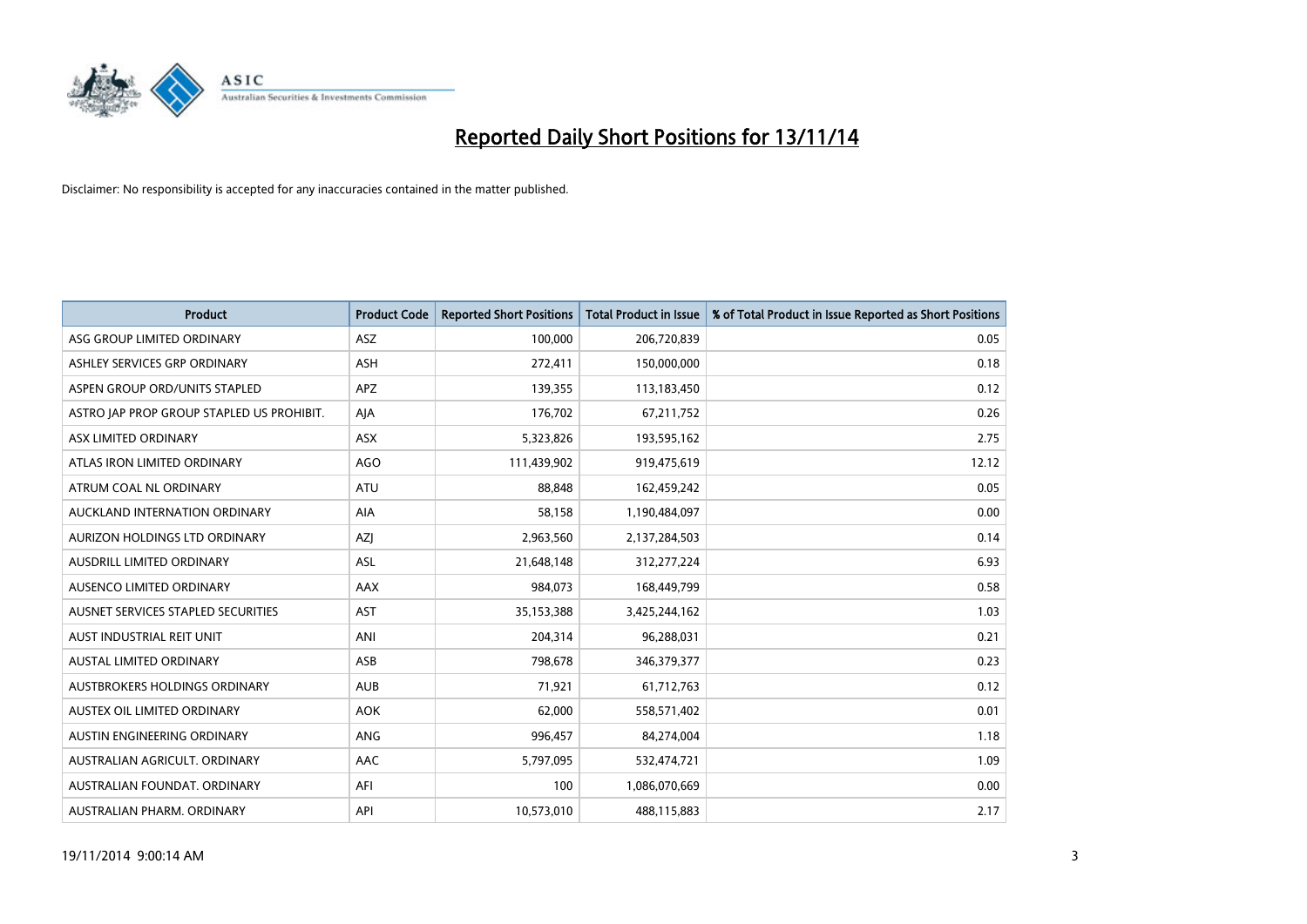

| <b>Product</b>                            | <b>Product Code</b> | <b>Reported Short Positions</b> | <b>Total Product in Issue</b> | % of Total Product in Issue Reported as Short Positions |
|-------------------------------------------|---------------------|---------------------------------|-------------------------------|---------------------------------------------------------|
| ASG GROUP LIMITED ORDINARY                | ASZ                 | 100,000                         | 206,720,839                   | 0.05                                                    |
| ASHLEY SERVICES GRP ORDINARY              | <b>ASH</b>          | 272,411                         | 150,000,000                   | 0.18                                                    |
| ASPEN GROUP ORD/UNITS STAPLED             | <b>APZ</b>          | 139,355                         | 113,183,450                   | 0.12                                                    |
| ASTRO JAP PROP GROUP STAPLED US PROHIBIT. | AJA                 | 176,702                         | 67,211,752                    | 0.26                                                    |
| ASX LIMITED ORDINARY                      | ASX                 | 5,323,826                       | 193,595,162                   | 2.75                                                    |
| ATLAS IRON LIMITED ORDINARY               | <b>AGO</b>          | 111,439,902                     | 919,475,619                   | 12.12                                                   |
| ATRUM COAL NL ORDINARY                    | <b>ATU</b>          | 88,848                          | 162,459,242                   | 0.05                                                    |
| AUCKLAND INTERNATION ORDINARY             | AIA                 | 58,158                          | 1,190,484,097                 | 0.00                                                    |
| AURIZON HOLDINGS LTD ORDINARY             | AZJ                 | 2,963,560                       | 2,137,284,503                 | 0.14                                                    |
| AUSDRILL LIMITED ORDINARY                 | <b>ASL</b>          | 21,648,148                      | 312,277,224                   | 6.93                                                    |
| AUSENCO LIMITED ORDINARY                  | AAX                 | 984,073                         | 168,449,799                   | 0.58                                                    |
| AUSNET SERVICES STAPLED SECURITIES        | <b>AST</b>          | 35,153,388                      | 3,425,244,162                 | 1.03                                                    |
| AUST INDUSTRIAL REIT UNIT                 | ANI                 | 204,314                         | 96,288,031                    | 0.21                                                    |
| <b>AUSTAL LIMITED ORDINARY</b>            | ASB                 | 798,678                         | 346, 379, 377                 | 0.23                                                    |
| AUSTBROKERS HOLDINGS ORDINARY             | <b>AUB</b>          | 71,921                          | 61,712,763                    | 0.12                                                    |
| AUSTEX OIL LIMITED ORDINARY               | <b>AOK</b>          | 62,000                          | 558,571,402                   | 0.01                                                    |
| AUSTIN ENGINEERING ORDINARY               | ANG                 | 996,457                         | 84,274,004                    | 1.18                                                    |
| AUSTRALIAN AGRICULT, ORDINARY             | AAC                 | 5,797,095                       | 532,474,721                   | 1.09                                                    |
| AUSTRALIAN FOUNDAT, ORDINARY              | AFI                 | 100                             | 1,086,070,669                 | 0.00                                                    |
| AUSTRALIAN PHARM. ORDINARY                | API                 | 10,573,010                      | 488,115,883                   | 2.17                                                    |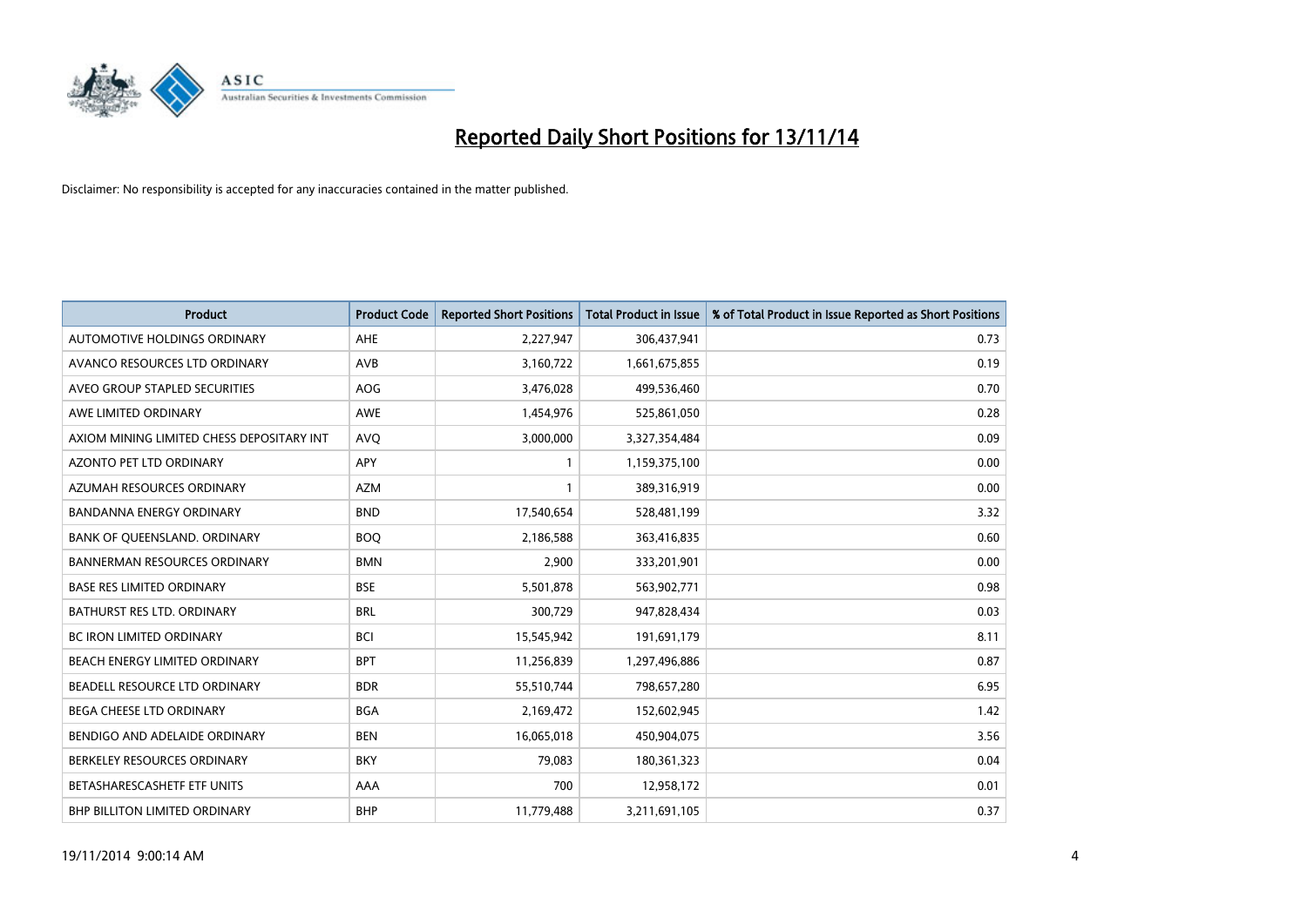

| <b>Product</b>                            | <b>Product Code</b> | <b>Reported Short Positions</b> | <b>Total Product in Issue</b> | % of Total Product in Issue Reported as Short Positions |
|-------------------------------------------|---------------------|---------------------------------|-------------------------------|---------------------------------------------------------|
| AUTOMOTIVE HOLDINGS ORDINARY              | AHE                 | 2,227,947                       | 306,437,941                   | 0.73                                                    |
| AVANCO RESOURCES LTD ORDINARY             | AVB                 | 3,160,722                       | 1,661,675,855                 | 0.19                                                    |
| AVEO GROUP STAPLED SECURITIES             | <b>AOG</b>          | 3,476,028                       | 499,536,460                   | 0.70                                                    |
| AWE LIMITED ORDINARY                      | <b>AWE</b>          | 1,454,976                       | 525,861,050                   | 0.28                                                    |
| AXIOM MINING LIMITED CHESS DEPOSITARY INT | <b>AVO</b>          | 3,000,000                       | 3,327,354,484                 | 0.09                                                    |
| <b>AZONTO PET LTD ORDINARY</b>            | APY                 | 1                               | 1,159,375,100                 | 0.00                                                    |
| AZUMAH RESOURCES ORDINARY                 | <b>AZM</b>          | $\mathbf{1}$                    | 389,316,919                   | 0.00                                                    |
| BANDANNA ENERGY ORDINARY                  | <b>BND</b>          | 17,540,654                      | 528,481,199                   | 3.32                                                    |
| BANK OF QUEENSLAND. ORDINARY              | <b>BOQ</b>          | 2,186,588                       | 363,416,835                   | 0.60                                                    |
| <b>BANNERMAN RESOURCES ORDINARY</b>       | <b>BMN</b>          | 2,900                           | 333,201,901                   | 0.00                                                    |
| <b>BASE RES LIMITED ORDINARY</b>          | <b>BSE</b>          | 5,501,878                       | 563,902,771                   | 0.98                                                    |
| BATHURST RES LTD. ORDINARY                | <b>BRL</b>          | 300,729                         | 947,828,434                   | 0.03                                                    |
| <b>BC IRON LIMITED ORDINARY</b>           | <b>BCI</b>          | 15,545,942                      | 191,691,179                   | 8.11                                                    |
| BEACH ENERGY LIMITED ORDINARY             | <b>BPT</b>          | 11,256,839                      | 1,297,496,886                 | 0.87                                                    |
| BEADELL RESOURCE LTD ORDINARY             | <b>BDR</b>          | 55,510,744                      | 798,657,280                   | 6.95                                                    |
| BEGA CHEESE LTD ORDINARY                  | <b>BGA</b>          | 2,169,472                       | 152,602,945                   | 1.42                                                    |
| BENDIGO AND ADELAIDE ORDINARY             | <b>BEN</b>          | 16,065,018                      | 450,904,075                   | 3.56                                                    |
| BERKELEY RESOURCES ORDINARY               | <b>BKY</b>          | 79,083                          | 180,361,323                   | 0.04                                                    |
| BETASHARESCASHETF ETF UNITS               | AAA                 | 700                             | 12,958,172                    | 0.01                                                    |
| BHP BILLITON LIMITED ORDINARY             | <b>BHP</b>          | 11,779,488                      | 3,211,691,105                 | 0.37                                                    |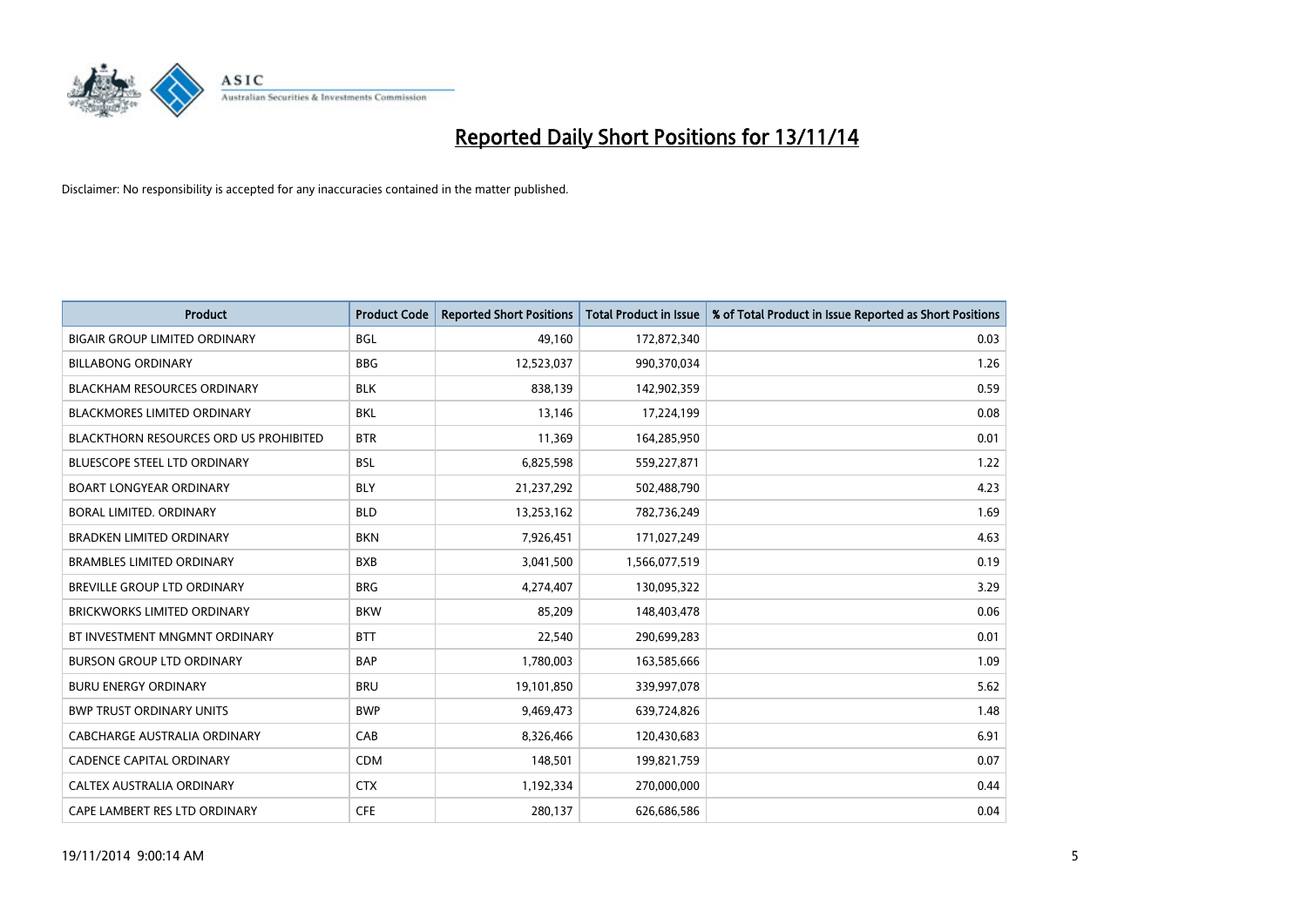

| Product                                | <b>Product Code</b> | <b>Reported Short Positions</b> | <b>Total Product in Issue</b> | % of Total Product in Issue Reported as Short Positions |
|----------------------------------------|---------------------|---------------------------------|-------------------------------|---------------------------------------------------------|
| <b>BIGAIR GROUP LIMITED ORDINARY</b>   | <b>BGL</b>          | 49,160                          | 172,872,340                   | 0.03                                                    |
| <b>BILLABONG ORDINARY</b>              | <b>BBG</b>          | 12,523,037                      | 990,370,034                   | 1.26                                                    |
| <b>BLACKHAM RESOURCES ORDINARY</b>     | <b>BLK</b>          | 838,139                         | 142,902,359                   | 0.59                                                    |
| <b>BLACKMORES LIMITED ORDINARY</b>     | <b>BKL</b>          | 13,146                          | 17,224,199                    | 0.08                                                    |
| BLACKTHORN RESOURCES ORD US PROHIBITED | <b>BTR</b>          | 11,369                          | 164,285,950                   | 0.01                                                    |
| <b>BLUESCOPE STEEL LTD ORDINARY</b>    | <b>BSL</b>          | 6,825,598                       | 559,227,871                   | 1.22                                                    |
| <b>BOART LONGYEAR ORDINARY</b>         | <b>BLY</b>          | 21,237,292                      | 502,488,790                   | 4.23                                                    |
| <b>BORAL LIMITED, ORDINARY</b>         | <b>BLD</b>          | 13,253,162                      | 782,736,249                   | 1.69                                                    |
| <b>BRADKEN LIMITED ORDINARY</b>        | <b>BKN</b>          | 7,926,451                       | 171,027,249                   | 4.63                                                    |
| <b>BRAMBLES LIMITED ORDINARY</b>       | <b>BXB</b>          | 3,041,500                       | 1,566,077,519                 | 0.19                                                    |
| <b>BREVILLE GROUP LTD ORDINARY</b>     | <b>BRG</b>          | 4,274,407                       | 130,095,322                   | 3.29                                                    |
| <b>BRICKWORKS LIMITED ORDINARY</b>     | <b>BKW</b>          | 85,209                          | 148,403,478                   | 0.06                                                    |
| BT INVESTMENT MNGMNT ORDINARY          | <b>BTT</b>          | 22,540                          | 290,699,283                   | 0.01                                                    |
| <b>BURSON GROUP LTD ORDINARY</b>       | <b>BAP</b>          | 1,780,003                       | 163,585,666                   | 1.09                                                    |
| <b>BURU ENERGY ORDINARY</b>            | <b>BRU</b>          | 19,101,850                      | 339,997,078                   | 5.62                                                    |
| <b>BWP TRUST ORDINARY UNITS</b>        | <b>BWP</b>          | 9,469,473                       | 639,724,826                   | 1.48                                                    |
| <b>CABCHARGE AUSTRALIA ORDINARY</b>    | CAB                 | 8,326,466                       | 120,430,683                   | 6.91                                                    |
| <b>CADENCE CAPITAL ORDINARY</b>        | <b>CDM</b>          | 148,501                         | 199,821,759                   | 0.07                                                    |
| CALTEX AUSTRALIA ORDINARY              | <b>CTX</b>          | 1,192,334                       | 270,000,000                   | 0.44                                                    |
| CAPE LAMBERT RES LTD ORDINARY          | <b>CFE</b>          | 280,137                         | 626,686,586                   | 0.04                                                    |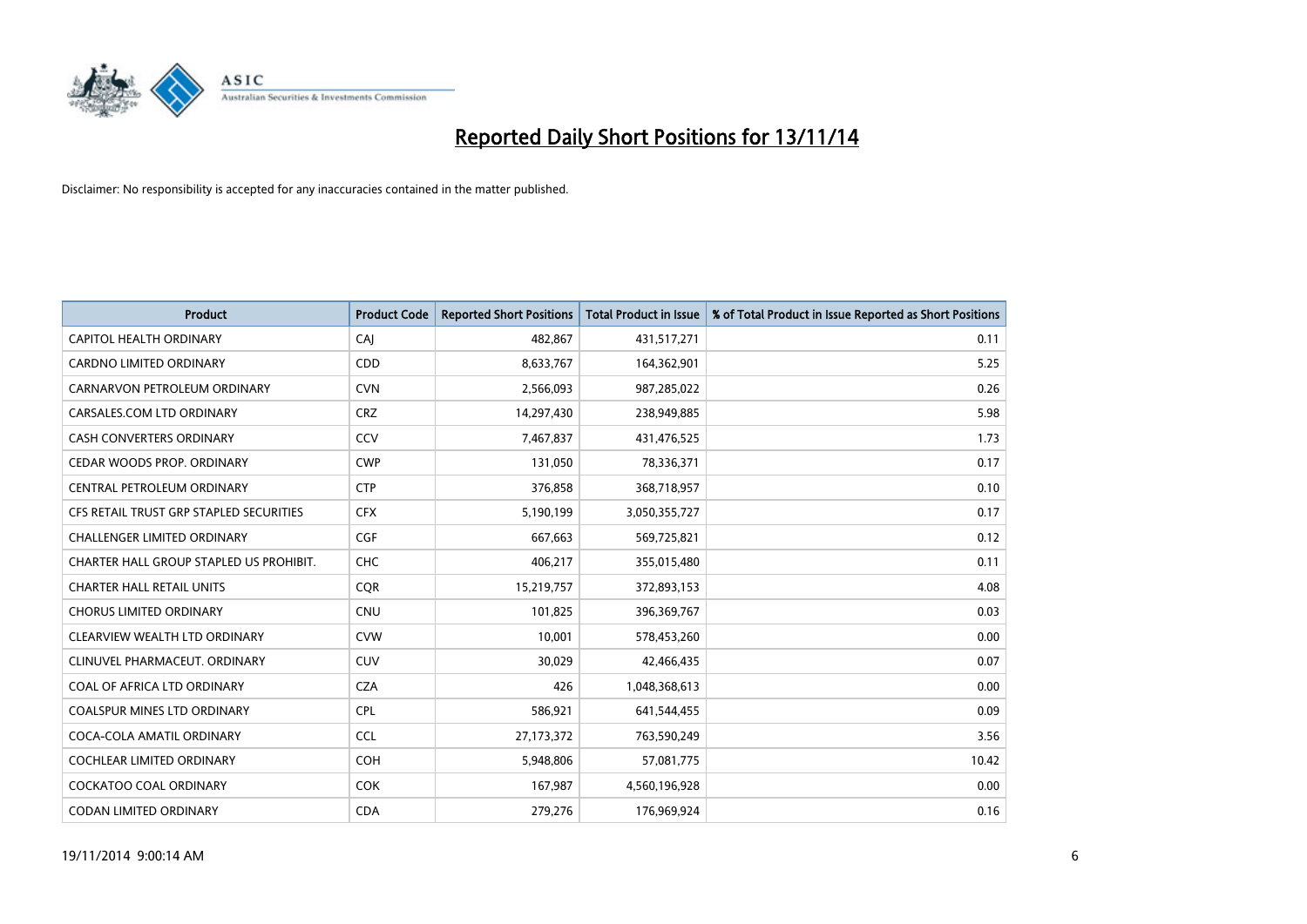

| Product                                 | <b>Product Code</b> | <b>Reported Short Positions</b> | <b>Total Product in Issue</b> | % of Total Product in Issue Reported as Short Positions |
|-----------------------------------------|---------------------|---------------------------------|-------------------------------|---------------------------------------------------------|
| CAPITOL HEALTH ORDINARY                 | CAJ                 | 482,867                         | 431,517,271                   | 0.11                                                    |
| CARDNO LIMITED ORDINARY                 | CDD                 | 8,633,767                       | 164,362,901                   | 5.25                                                    |
| CARNARVON PETROLEUM ORDINARY            | <b>CVN</b>          | 2,566,093                       | 987,285,022                   | 0.26                                                    |
| CARSALES.COM LTD ORDINARY               | <b>CRZ</b>          | 14,297,430                      | 238,949,885                   | 5.98                                                    |
| <b>CASH CONVERTERS ORDINARY</b>         | CCV                 | 7,467,837                       | 431,476,525                   | 1.73                                                    |
| CEDAR WOODS PROP. ORDINARY              | <b>CWP</b>          | 131,050                         | 78,336,371                    | 0.17                                                    |
| CENTRAL PETROLEUM ORDINARY              | <b>CTP</b>          | 376,858                         | 368,718,957                   | 0.10                                                    |
| CFS RETAIL TRUST GRP STAPLED SECURITIES | <b>CFX</b>          | 5,190,199                       | 3,050,355,727                 | 0.17                                                    |
| CHALLENGER LIMITED ORDINARY             | <b>CGF</b>          | 667,663                         | 569,725,821                   | 0.12                                                    |
| CHARTER HALL GROUP STAPLED US PROHIBIT. | <b>CHC</b>          | 406,217                         | 355,015,480                   | 0.11                                                    |
| <b>CHARTER HALL RETAIL UNITS</b>        | <b>CQR</b>          | 15,219,757                      | 372,893,153                   | 4.08                                                    |
| <b>CHORUS LIMITED ORDINARY</b>          | CNU                 | 101,825                         | 396,369,767                   | 0.03                                                    |
| CLEARVIEW WEALTH LTD ORDINARY           | <b>CVW</b>          | 10,001                          | 578,453,260                   | 0.00                                                    |
| CLINUVEL PHARMACEUT, ORDINARY           | <b>CUV</b>          | 30,029                          | 42,466,435                    | 0.07                                                    |
| COAL OF AFRICA LTD ORDINARY             | <b>CZA</b>          | 426                             | 1,048,368,613                 | 0.00                                                    |
| COALSPUR MINES LTD ORDINARY             | <b>CPL</b>          | 586,921                         | 641,544,455                   | 0.09                                                    |
| COCA-COLA AMATIL ORDINARY               | <b>CCL</b>          | 27, 173, 372                    | 763,590,249                   | 3.56                                                    |
| COCHLEAR LIMITED ORDINARY               | <b>COH</b>          | 5,948,806                       | 57,081,775                    | 10.42                                                   |
| COCKATOO COAL ORDINARY                  | <b>COK</b>          | 167,987                         | 4,560,196,928                 | 0.00                                                    |
| <b>CODAN LIMITED ORDINARY</b>           | <b>CDA</b>          | 279,276                         | 176,969,924                   | 0.16                                                    |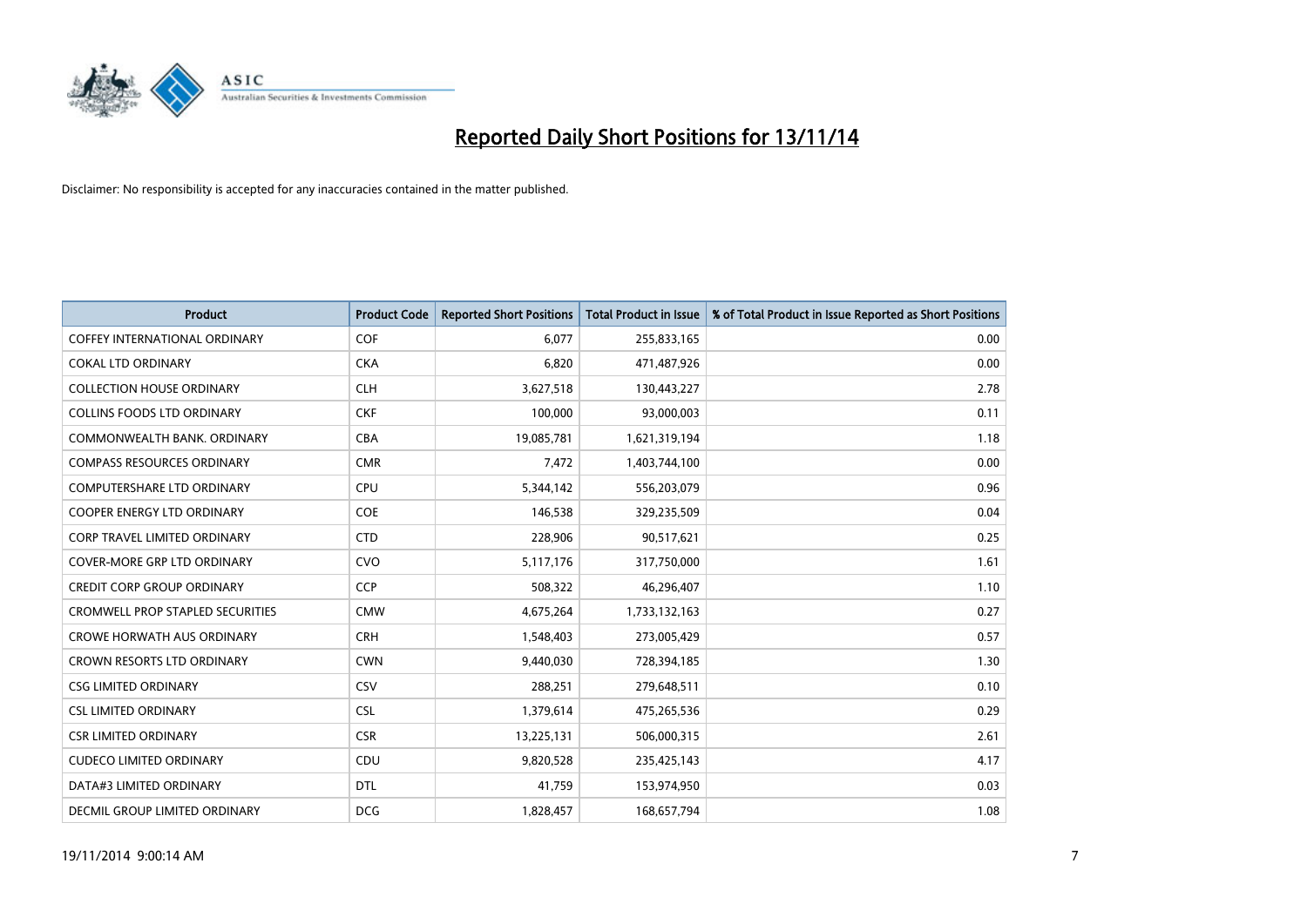

| Product                                 | <b>Product Code</b> | <b>Reported Short Positions</b> | <b>Total Product in Issue</b> | % of Total Product in Issue Reported as Short Positions |
|-----------------------------------------|---------------------|---------------------------------|-------------------------------|---------------------------------------------------------|
| <b>COFFEY INTERNATIONAL ORDINARY</b>    | COF                 | 6,077                           | 255,833,165                   | 0.00                                                    |
| <b>COKAL LTD ORDINARY</b>               | <b>CKA</b>          | 6,820                           | 471,487,926                   | 0.00                                                    |
| <b>COLLECTION HOUSE ORDINARY</b>        | <b>CLH</b>          | 3,627,518                       | 130,443,227                   | 2.78                                                    |
| <b>COLLINS FOODS LTD ORDINARY</b>       | <b>CKF</b>          | 100,000                         | 93,000,003                    | 0.11                                                    |
| COMMONWEALTH BANK, ORDINARY             | <b>CBA</b>          | 19,085,781                      | 1,621,319,194                 | 1.18                                                    |
| <b>COMPASS RESOURCES ORDINARY</b>       | <b>CMR</b>          | 7,472                           | 1,403,744,100                 | 0.00                                                    |
| <b>COMPUTERSHARE LTD ORDINARY</b>       | <b>CPU</b>          | 5,344,142                       | 556,203,079                   | 0.96                                                    |
| <b>COOPER ENERGY LTD ORDINARY</b>       | <b>COE</b>          | 146,538                         | 329,235,509                   | 0.04                                                    |
| <b>CORP TRAVEL LIMITED ORDINARY</b>     | <b>CTD</b>          | 228,906                         | 90,517,621                    | 0.25                                                    |
| <b>COVER-MORE GRP LTD ORDINARY</b>      | <b>CVO</b>          | 5,117,176                       | 317,750,000                   | 1.61                                                    |
| <b>CREDIT CORP GROUP ORDINARY</b>       | <b>CCP</b>          | 508,322                         | 46,296,407                    | 1.10                                                    |
| <b>CROMWELL PROP STAPLED SECURITIES</b> | <b>CMW</b>          | 4,675,264                       | 1,733,132,163                 | 0.27                                                    |
| <b>CROWE HORWATH AUS ORDINARY</b>       | <b>CRH</b>          | 1,548,403                       | 273,005,429                   | 0.57                                                    |
| <b>CROWN RESORTS LTD ORDINARY</b>       | <b>CWN</b>          | 9,440,030                       | 728,394,185                   | 1.30                                                    |
| <b>CSG LIMITED ORDINARY</b>             | CSV                 | 288,251                         | 279,648,511                   | 0.10                                                    |
| <b>CSL LIMITED ORDINARY</b>             | <b>CSL</b>          | 1,379,614                       | 475,265,536                   | 0.29                                                    |
| <b>CSR LIMITED ORDINARY</b>             | <b>CSR</b>          | 13,225,131                      | 506,000,315                   | 2.61                                                    |
| <b>CUDECO LIMITED ORDINARY</b>          | <b>CDU</b>          | 9,820,528                       | 235,425,143                   | 4.17                                                    |
| DATA#3 LIMITED ORDINARY                 | <b>DTL</b>          | 41,759                          | 153,974,950                   | 0.03                                                    |
| DECMIL GROUP LIMITED ORDINARY           | <b>DCG</b>          | 1,828,457                       | 168,657,794                   | 1.08                                                    |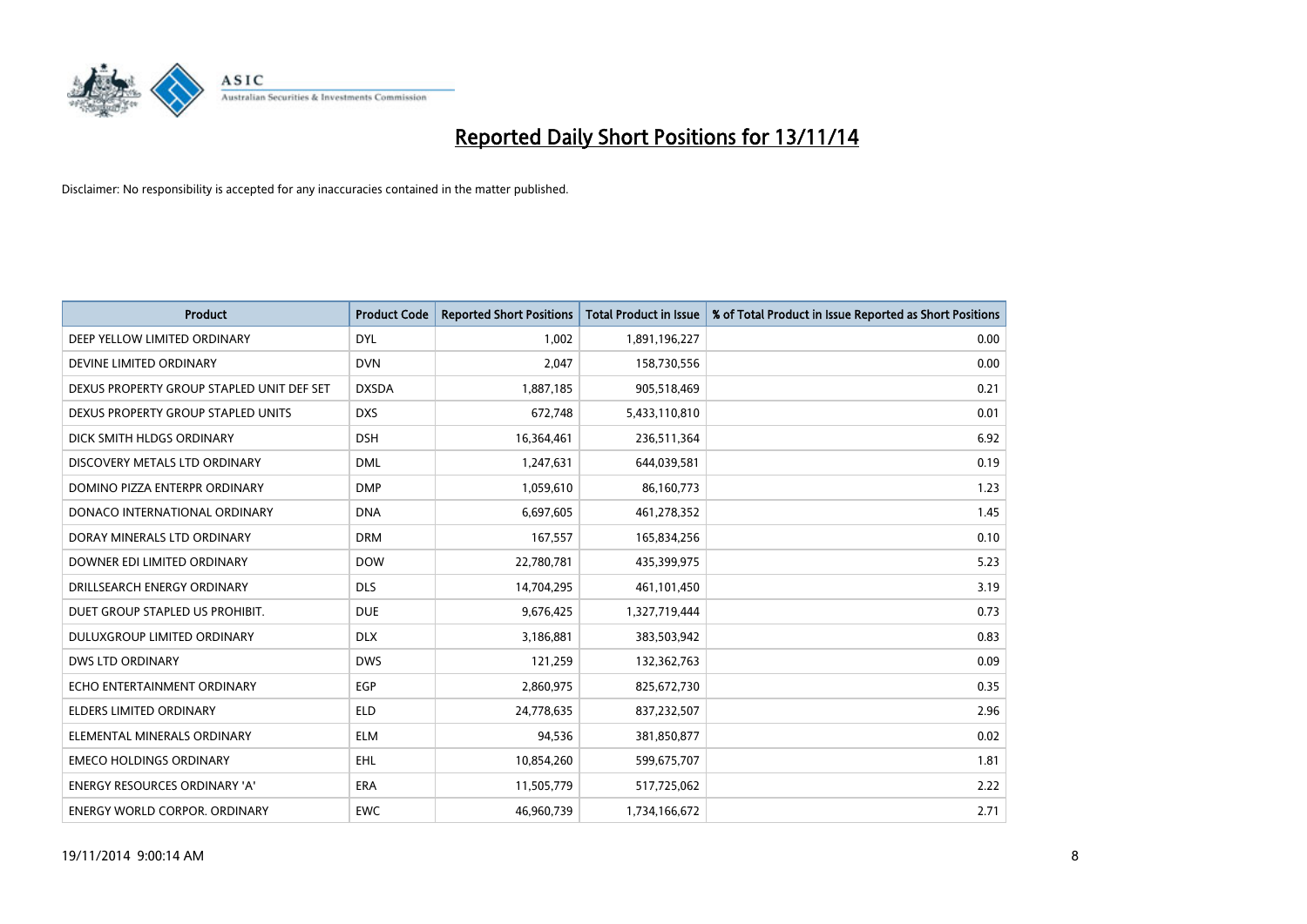

| <b>Product</b>                            | <b>Product Code</b> | <b>Reported Short Positions</b> | <b>Total Product in Issue</b> | % of Total Product in Issue Reported as Short Positions |
|-------------------------------------------|---------------------|---------------------------------|-------------------------------|---------------------------------------------------------|
| DEEP YELLOW LIMITED ORDINARY              | <b>DYL</b>          | 1,002                           | 1,891,196,227                 | 0.00                                                    |
| DEVINE LIMITED ORDINARY                   | <b>DVN</b>          | 2,047                           | 158,730,556                   | 0.00                                                    |
| DEXUS PROPERTY GROUP STAPLED UNIT DEF SET | <b>DXSDA</b>        | 1,887,185                       | 905,518,469                   | 0.21                                                    |
| DEXUS PROPERTY GROUP STAPLED UNITS        | <b>DXS</b>          | 672,748                         | 5,433,110,810                 | 0.01                                                    |
| DICK SMITH HLDGS ORDINARY                 | <b>DSH</b>          | 16,364,461                      | 236,511,364                   | 6.92                                                    |
| DISCOVERY METALS LTD ORDINARY             | <b>DML</b>          | 1,247,631                       | 644,039,581                   | 0.19                                                    |
| DOMINO PIZZA ENTERPR ORDINARY             | <b>DMP</b>          | 1,059,610                       | 86,160,773                    | 1.23                                                    |
| DONACO INTERNATIONAL ORDINARY             | <b>DNA</b>          | 6,697,605                       | 461,278,352                   | 1.45                                                    |
| DORAY MINERALS LTD ORDINARY               | <b>DRM</b>          | 167,557                         | 165,834,256                   | 0.10                                                    |
| DOWNER EDI LIMITED ORDINARY               | <b>DOW</b>          | 22,780,781                      | 435,399,975                   | 5.23                                                    |
| DRILLSEARCH ENERGY ORDINARY               | <b>DLS</b>          | 14,704,295                      | 461,101,450                   | 3.19                                                    |
| DUET GROUP STAPLED US PROHIBIT.           | <b>DUE</b>          | 9,676,425                       | 1,327,719,444                 | 0.73                                                    |
| DULUXGROUP LIMITED ORDINARY               | <b>DLX</b>          | 3,186,881                       | 383,503,942                   | 0.83                                                    |
| <b>DWS LTD ORDINARY</b>                   | <b>DWS</b>          | 121,259                         | 132,362,763                   | 0.09                                                    |
| ECHO ENTERTAINMENT ORDINARY               | <b>EGP</b>          | 2,860,975                       | 825,672,730                   | 0.35                                                    |
| <b>ELDERS LIMITED ORDINARY</b>            | <b>ELD</b>          | 24,778,635                      | 837,232,507                   | 2.96                                                    |
| ELEMENTAL MINERALS ORDINARY               | <b>ELM</b>          | 94,536                          | 381,850,877                   | 0.02                                                    |
| <b>EMECO HOLDINGS ORDINARY</b>            | <b>EHL</b>          | 10,854,260                      | 599,675,707                   | 1.81                                                    |
| <b>ENERGY RESOURCES ORDINARY 'A'</b>      | <b>ERA</b>          | 11,505,779                      | 517,725,062                   | 2.22                                                    |
| <b>ENERGY WORLD CORPOR, ORDINARY</b>      | <b>EWC</b>          | 46,960,739                      | 1,734,166,672                 | 2.71                                                    |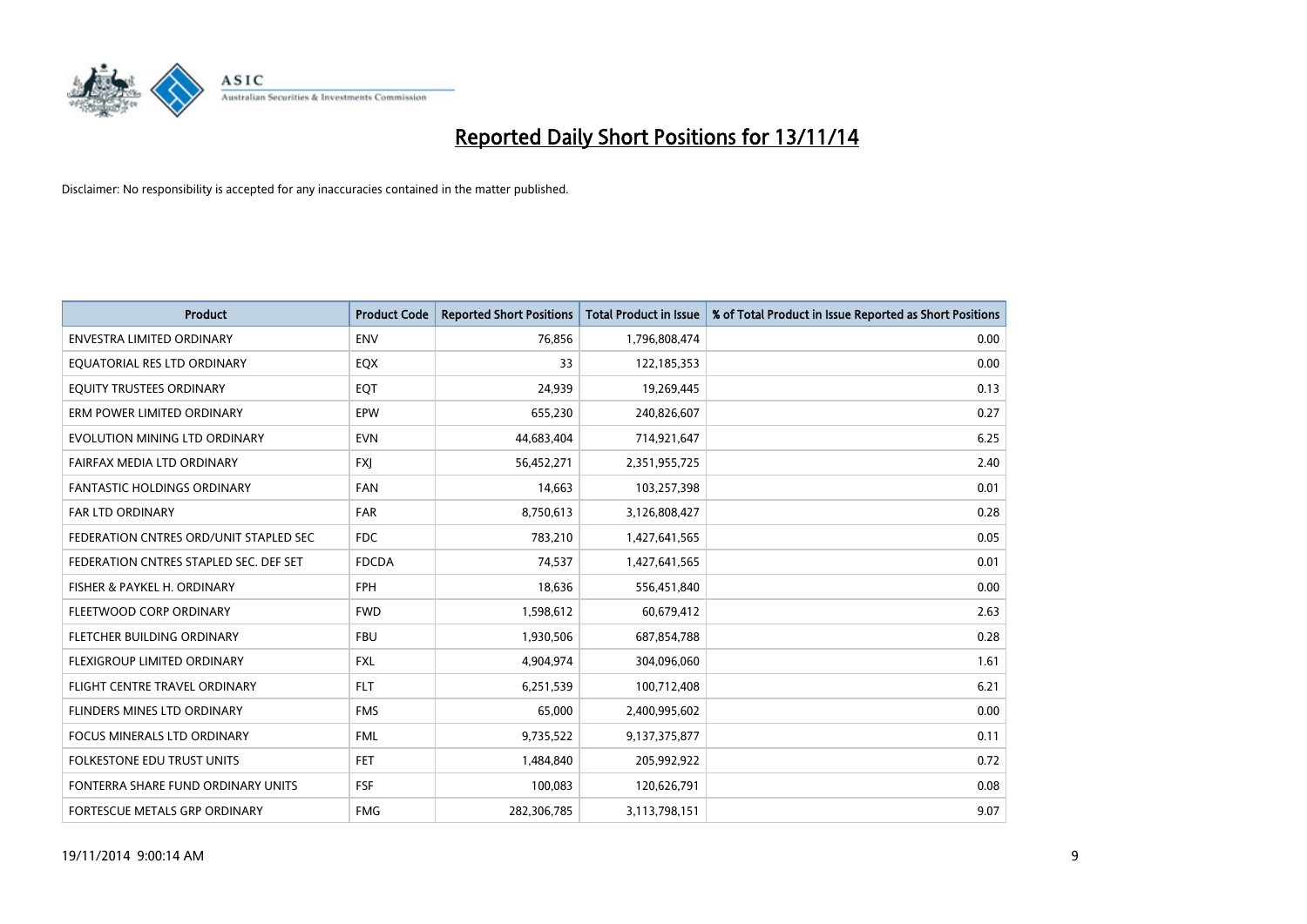

| <b>Product</b>                         | <b>Product Code</b> | <b>Reported Short Positions</b> | Total Product in Issue | % of Total Product in Issue Reported as Short Positions |
|----------------------------------------|---------------------|---------------------------------|------------------------|---------------------------------------------------------|
| <b>ENVESTRA LIMITED ORDINARY</b>       | <b>ENV</b>          | 76,856                          | 1,796,808,474          | 0.00                                                    |
| EQUATORIAL RES LTD ORDINARY            | EQX                 | 33                              | 122,185,353            | 0.00                                                    |
| EQUITY TRUSTEES ORDINARY               | EQT                 | 24,939                          | 19,269,445             | 0.13                                                    |
| ERM POWER LIMITED ORDINARY             | <b>EPW</b>          | 655,230                         | 240,826,607            | 0.27                                                    |
| EVOLUTION MINING LTD ORDINARY          | <b>EVN</b>          | 44,683,404                      | 714,921,647            | 6.25                                                    |
| FAIRFAX MEDIA LTD ORDINARY             | <b>FXJ</b>          | 56,452,271                      | 2,351,955,725          | 2.40                                                    |
| <b>FANTASTIC HOLDINGS ORDINARY</b>     | <b>FAN</b>          | 14,663                          | 103,257,398            | 0.01                                                    |
| <b>FAR LTD ORDINARY</b>                | <b>FAR</b>          | 8,750,613                       | 3,126,808,427          | 0.28                                                    |
| FEDERATION CNTRES ORD/UNIT STAPLED SEC | FDC.                | 783,210                         | 1,427,641,565          | 0.05                                                    |
| FEDERATION CNTRES STAPLED SEC. DEF SET | <b>FDCDA</b>        | 74,537                          | 1,427,641,565          | 0.01                                                    |
| FISHER & PAYKEL H. ORDINARY            | <b>FPH</b>          | 18,636                          | 556,451,840            | 0.00                                                    |
| FLEETWOOD CORP ORDINARY                | <b>FWD</b>          | 1,598,612                       | 60,679,412             | 2.63                                                    |
| FLETCHER BUILDING ORDINARY             | <b>FBU</b>          | 1,930,506                       | 687,854,788            | 0.28                                                    |
| FLEXIGROUP LIMITED ORDINARY            | FXL                 | 4,904,974                       | 304,096,060            | 1.61                                                    |
| FLIGHT CENTRE TRAVEL ORDINARY          | <b>FLT</b>          | 6,251,539                       | 100,712,408            | 6.21                                                    |
| FLINDERS MINES LTD ORDINARY            | <b>FMS</b>          | 65,000                          | 2,400,995,602          | 0.00                                                    |
| FOCUS MINERALS LTD ORDINARY            | <b>FML</b>          | 9,735,522                       | 9,137,375,877          | 0.11                                                    |
| <b>FOLKESTONE EDU TRUST UNITS</b>      | FET.                | 1,484,840                       | 205,992,922            | 0.72                                                    |
| FONTERRA SHARE FUND ORDINARY UNITS     | <b>FSF</b>          | 100,083                         | 120,626,791            | 0.08                                                    |
| FORTESCUE METALS GRP ORDINARY          | <b>FMG</b>          | 282,306,785                     | 3,113,798,151          | 9.07                                                    |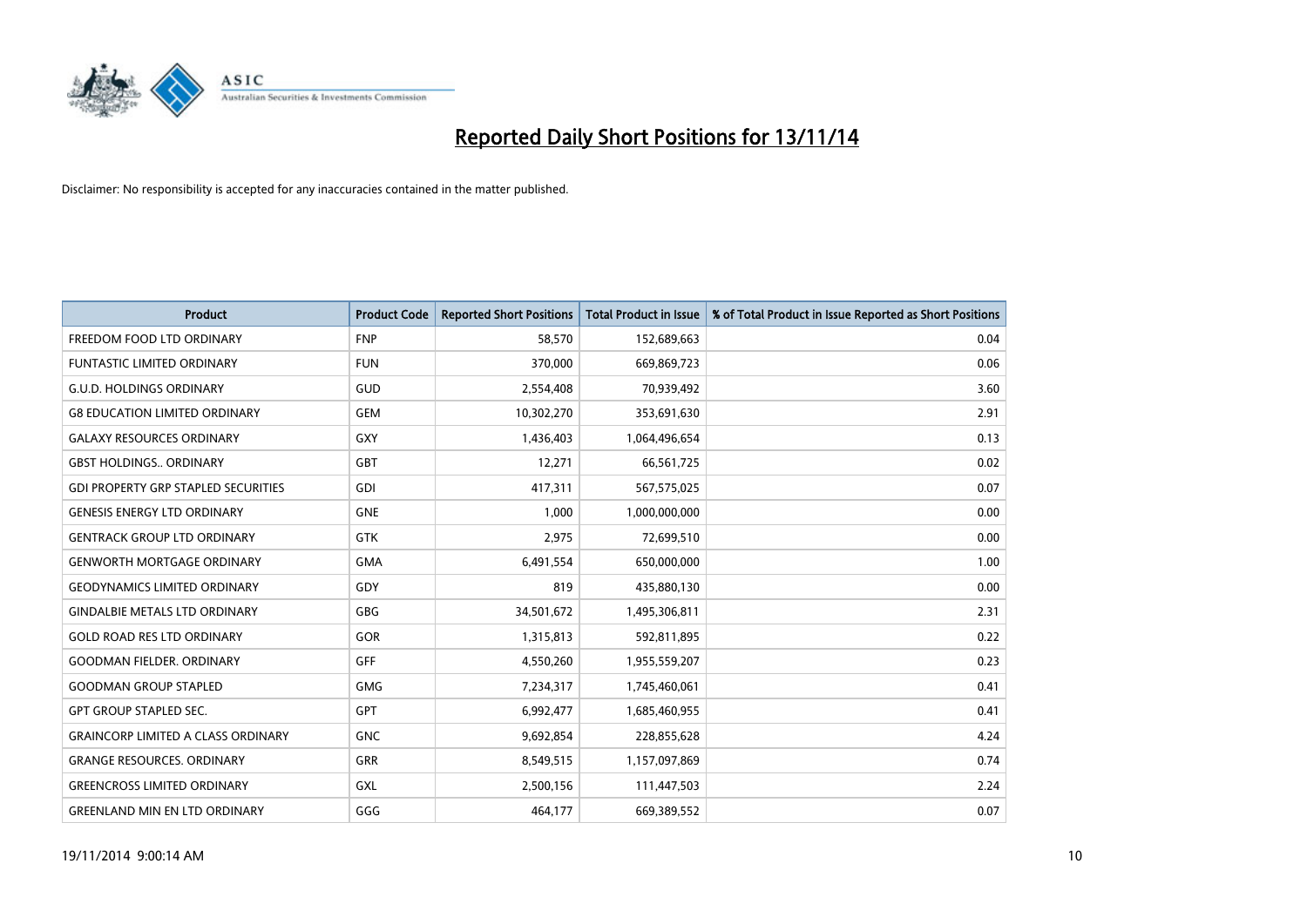

| <b>Product</b>                             | <b>Product Code</b> | <b>Reported Short Positions</b> | <b>Total Product in Issue</b> | % of Total Product in Issue Reported as Short Positions |
|--------------------------------------------|---------------------|---------------------------------|-------------------------------|---------------------------------------------------------|
| FREEDOM FOOD LTD ORDINARY                  | <b>FNP</b>          | 58,570                          | 152,689,663                   | 0.04                                                    |
| FUNTASTIC LIMITED ORDINARY                 | <b>FUN</b>          | 370,000                         | 669,869,723                   | 0.06                                                    |
| <b>G.U.D. HOLDINGS ORDINARY</b>            | GUD                 | 2,554,408                       | 70,939,492                    | 3.60                                                    |
| <b>G8 EDUCATION LIMITED ORDINARY</b>       | <b>GEM</b>          | 10,302,270                      | 353,691,630                   | 2.91                                                    |
| <b>GALAXY RESOURCES ORDINARY</b>           | GXY                 | 1,436,403                       | 1,064,496,654                 | 0.13                                                    |
| <b>GBST HOLDINGS., ORDINARY</b>            | <b>GBT</b>          | 12,271                          | 66,561,725                    | 0.02                                                    |
| <b>GDI PROPERTY GRP STAPLED SECURITIES</b> | <b>GDI</b>          | 417,311                         | 567,575,025                   | 0.07                                                    |
| <b>GENESIS ENERGY LTD ORDINARY</b>         | <b>GNE</b>          | 1,000                           | 1,000,000,000                 | 0.00                                                    |
| <b>GENTRACK GROUP LTD ORDINARY</b>         | <b>GTK</b>          | 2,975                           | 72,699,510                    | 0.00                                                    |
| <b>GENWORTH MORTGAGE ORDINARY</b>          | <b>GMA</b>          | 6,491,554                       | 650,000,000                   | 1.00                                                    |
| <b>GEODYNAMICS LIMITED ORDINARY</b>        | GDY                 | 819                             | 435,880,130                   | 0.00                                                    |
| <b>GINDALBIE METALS LTD ORDINARY</b>       | GBG                 | 34,501,672                      | 1,495,306,811                 | 2.31                                                    |
| <b>GOLD ROAD RES LTD ORDINARY</b>          | GOR                 | 1,315,813                       | 592,811,895                   | 0.22                                                    |
| <b>GOODMAN FIELDER, ORDINARY</b>           | GFF                 | 4,550,260                       | 1,955,559,207                 | 0.23                                                    |
| <b>GOODMAN GROUP STAPLED</b>               | <b>GMG</b>          | 7,234,317                       | 1,745,460,061                 | 0.41                                                    |
| <b>GPT GROUP STAPLED SEC.</b>              | <b>GPT</b>          | 6,992,477                       | 1,685,460,955                 | 0.41                                                    |
| <b>GRAINCORP LIMITED A CLASS ORDINARY</b>  | <b>GNC</b>          | 9,692,854                       | 228,855,628                   | 4.24                                                    |
| <b>GRANGE RESOURCES. ORDINARY</b>          | GRR                 | 8,549,515                       | 1,157,097,869                 | 0.74                                                    |
| <b>GREENCROSS LIMITED ORDINARY</b>         | GXL                 | 2,500,156                       | 111,447,503                   | 2.24                                                    |
| <b>GREENLAND MIN EN LTD ORDINARY</b>       | GGG                 | 464,177                         | 669,389,552                   | 0.07                                                    |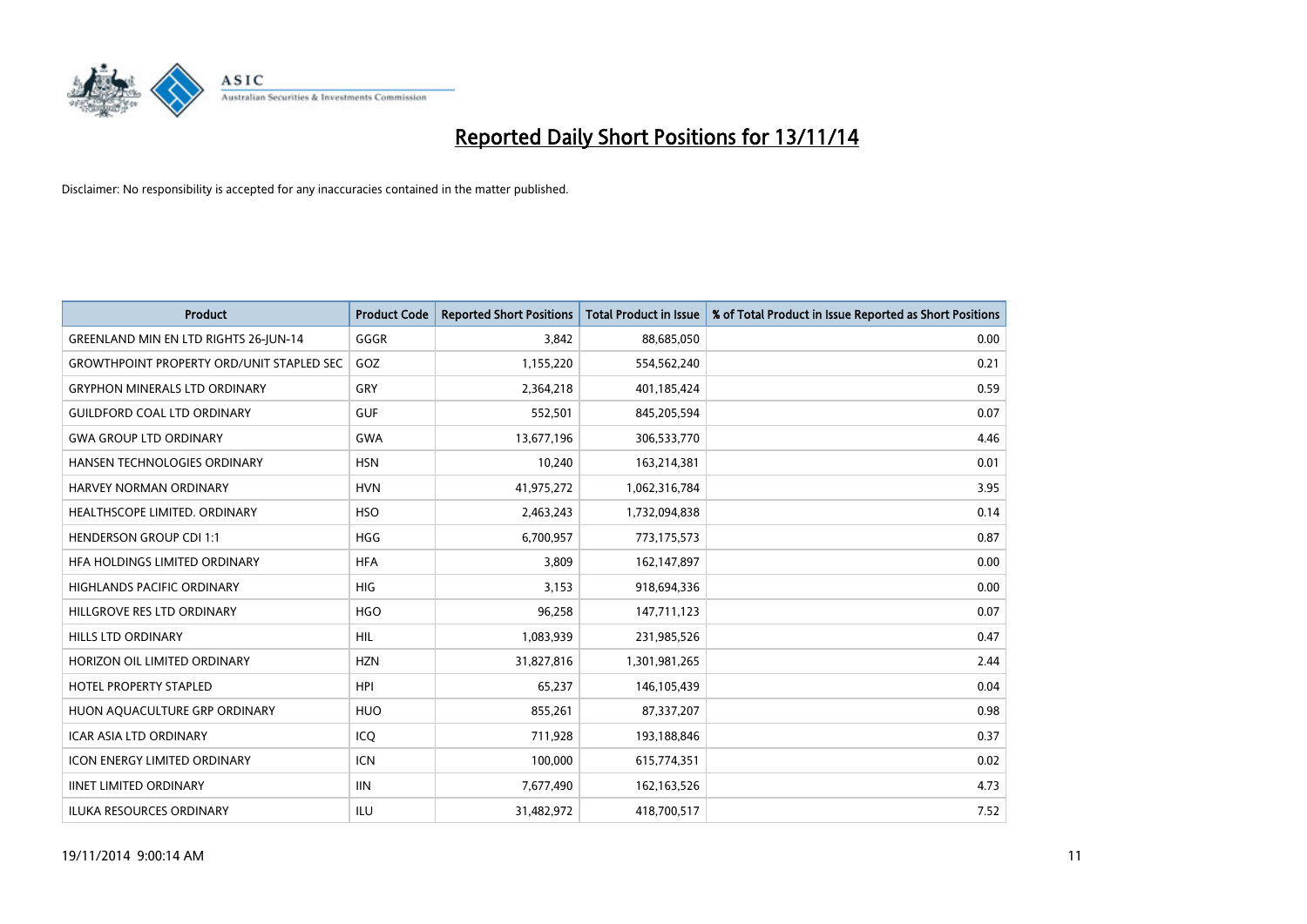

| <b>Product</b>                                   | <b>Product Code</b> | <b>Reported Short Positions</b> | <b>Total Product in Issue</b> | % of Total Product in Issue Reported as Short Positions |
|--------------------------------------------------|---------------------|---------------------------------|-------------------------------|---------------------------------------------------------|
| GREENLAND MIN EN LTD RIGHTS 26-JUN-14            | GGGR                | 3,842                           | 88,685,050                    | 0.00                                                    |
| <b>GROWTHPOINT PROPERTY ORD/UNIT STAPLED SEC</b> | GOZ                 | 1,155,220                       | 554,562,240                   | 0.21                                                    |
| <b>GRYPHON MINERALS LTD ORDINARY</b>             | GRY                 | 2,364,218                       | 401,185,424                   | 0.59                                                    |
| <b>GUILDFORD COAL LTD ORDINARY</b>               | <b>GUF</b>          | 552,501                         | 845,205,594                   | 0.07                                                    |
| <b>GWA GROUP LTD ORDINARY</b>                    | <b>GWA</b>          | 13,677,196                      | 306,533,770                   | 4.46                                                    |
| <b>HANSEN TECHNOLOGIES ORDINARY</b>              | <b>HSN</b>          | 10,240                          | 163,214,381                   | 0.01                                                    |
| HARVEY NORMAN ORDINARY                           | <b>HVN</b>          | 41,975,272                      | 1,062,316,784                 | 3.95                                                    |
| HEALTHSCOPE LIMITED. ORDINARY                    | <b>HSO</b>          | 2,463,243                       | 1,732,094,838                 | 0.14                                                    |
| <b>HENDERSON GROUP CDI 1:1</b>                   | <b>HGG</b>          | 6,700,957                       | 773,175,573                   | 0.87                                                    |
| HEA HOLDINGS LIMITED ORDINARY                    | <b>HFA</b>          | 3,809                           | 162,147,897                   | 0.00                                                    |
| HIGHLANDS PACIFIC ORDINARY                       | <b>HIG</b>          | 3,153                           | 918,694,336                   | 0.00                                                    |
| HILLGROVE RES LTD ORDINARY                       | <b>HGO</b>          | 96,258                          | 147,711,123                   | 0.07                                                    |
| <b>HILLS LTD ORDINARY</b>                        | <b>HIL</b>          | 1,083,939                       | 231,985,526                   | 0.47                                                    |
| HORIZON OIL LIMITED ORDINARY                     | <b>HZN</b>          | 31,827,816                      | 1,301,981,265                 | 2.44                                                    |
| <b>HOTEL PROPERTY STAPLED</b>                    | <b>HPI</b>          | 65,237                          | 146,105,439                   | 0.04                                                    |
| HUON AQUACULTURE GRP ORDINARY                    | <b>HUO</b>          | 855,261                         | 87,337,207                    | 0.98                                                    |
| <b>ICAR ASIA LTD ORDINARY</b>                    | ICQ                 | 711,928                         | 193,188,846                   | 0.37                                                    |
| <b>ICON ENERGY LIMITED ORDINARY</b>              | <b>ICN</b>          | 100,000                         | 615,774,351                   | 0.02                                                    |
| <b>IINET LIMITED ORDINARY</b>                    | <b>IIN</b>          | 7,677,490                       | 162, 163, 526                 | 4.73                                                    |
| <b>ILUKA RESOURCES ORDINARY</b>                  | ILU                 | 31,482,972                      | 418,700,517                   | 7.52                                                    |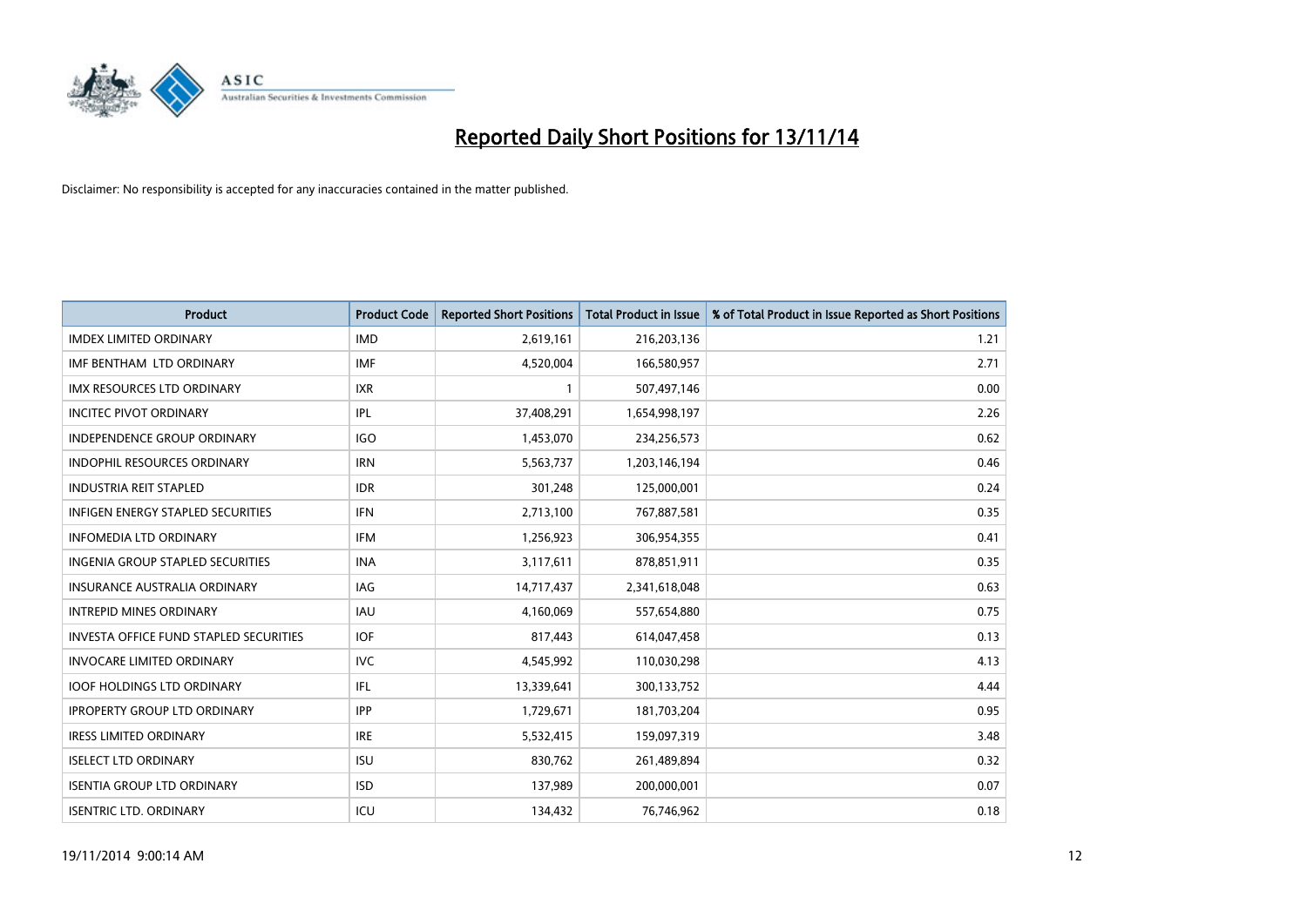

| <b>Product</b>                                | <b>Product Code</b> | <b>Reported Short Positions</b> | <b>Total Product in Issue</b> | % of Total Product in Issue Reported as Short Positions |
|-----------------------------------------------|---------------------|---------------------------------|-------------------------------|---------------------------------------------------------|
| <b>IMDEX LIMITED ORDINARY</b>                 | <b>IMD</b>          | 2,619,161                       | 216,203,136                   | 1.21                                                    |
| IMF BENTHAM LTD ORDINARY                      | <b>IMF</b>          | 4,520,004                       | 166,580,957                   | 2.71                                                    |
| <b>IMX RESOURCES LTD ORDINARY</b>             | <b>IXR</b>          | $\mathbf{1}$                    | 507,497,146                   | 0.00                                                    |
| <b>INCITEC PIVOT ORDINARY</b>                 | IPL                 | 37,408,291                      | 1,654,998,197                 | 2.26                                                    |
| <b>INDEPENDENCE GROUP ORDINARY</b>            | <b>IGO</b>          | 1,453,070                       | 234,256,573                   | 0.62                                                    |
| <b>INDOPHIL RESOURCES ORDINARY</b>            | <b>IRN</b>          | 5,563,737                       | 1,203,146,194                 | 0.46                                                    |
| <b>INDUSTRIA REIT STAPLED</b>                 | <b>IDR</b>          | 301,248                         | 125,000,001                   | 0.24                                                    |
| <b>INFIGEN ENERGY STAPLED SECURITIES</b>      | <b>IFN</b>          | 2,713,100                       | 767,887,581                   | 0.35                                                    |
| <b>INFOMEDIA LTD ORDINARY</b>                 | <b>IFM</b>          | 1,256,923                       | 306,954,355                   | 0.41                                                    |
| <b>INGENIA GROUP STAPLED SECURITIES</b>       | <b>INA</b>          | 3,117,611                       | 878,851,911                   | 0.35                                                    |
| <b>INSURANCE AUSTRALIA ORDINARY</b>           | <b>IAG</b>          | 14,717,437                      | 2,341,618,048                 | 0.63                                                    |
| <b>INTREPID MINES ORDINARY</b>                | IAU                 | 4,160,069                       | 557,654,880                   | 0.75                                                    |
| <b>INVESTA OFFICE FUND STAPLED SECURITIES</b> | <b>IOF</b>          | 817,443                         | 614,047,458                   | 0.13                                                    |
| <b>INVOCARE LIMITED ORDINARY</b>              | <b>IVC</b>          | 4,545,992                       | 110,030,298                   | 4.13                                                    |
| <b>IOOF HOLDINGS LTD ORDINARY</b>             | IFL                 | 13,339,641                      | 300,133,752                   | 4.44                                                    |
| <b>IPROPERTY GROUP LTD ORDINARY</b>           | <b>IPP</b>          | 1,729,671                       | 181,703,204                   | 0.95                                                    |
| <b>IRESS LIMITED ORDINARY</b>                 | <b>IRE</b>          | 5,532,415                       | 159,097,319                   | 3.48                                                    |
| <b>ISELECT LTD ORDINARY</b>                   | <b>ISU</b>          | 830,762                         | 261,489,894                   | 0.32                                                    |
| <b>ISENTIA GROUP LTD ORDINARY</b>             | <b>ISD</b>          | 137,989                         | 200,000,001                   | 0.07                                                    |
| <b>ISENTRIC LTD. ORDINARY</b>                 | ICU                 | 134,432                         | 76,746,962                    | 0.18                                                    |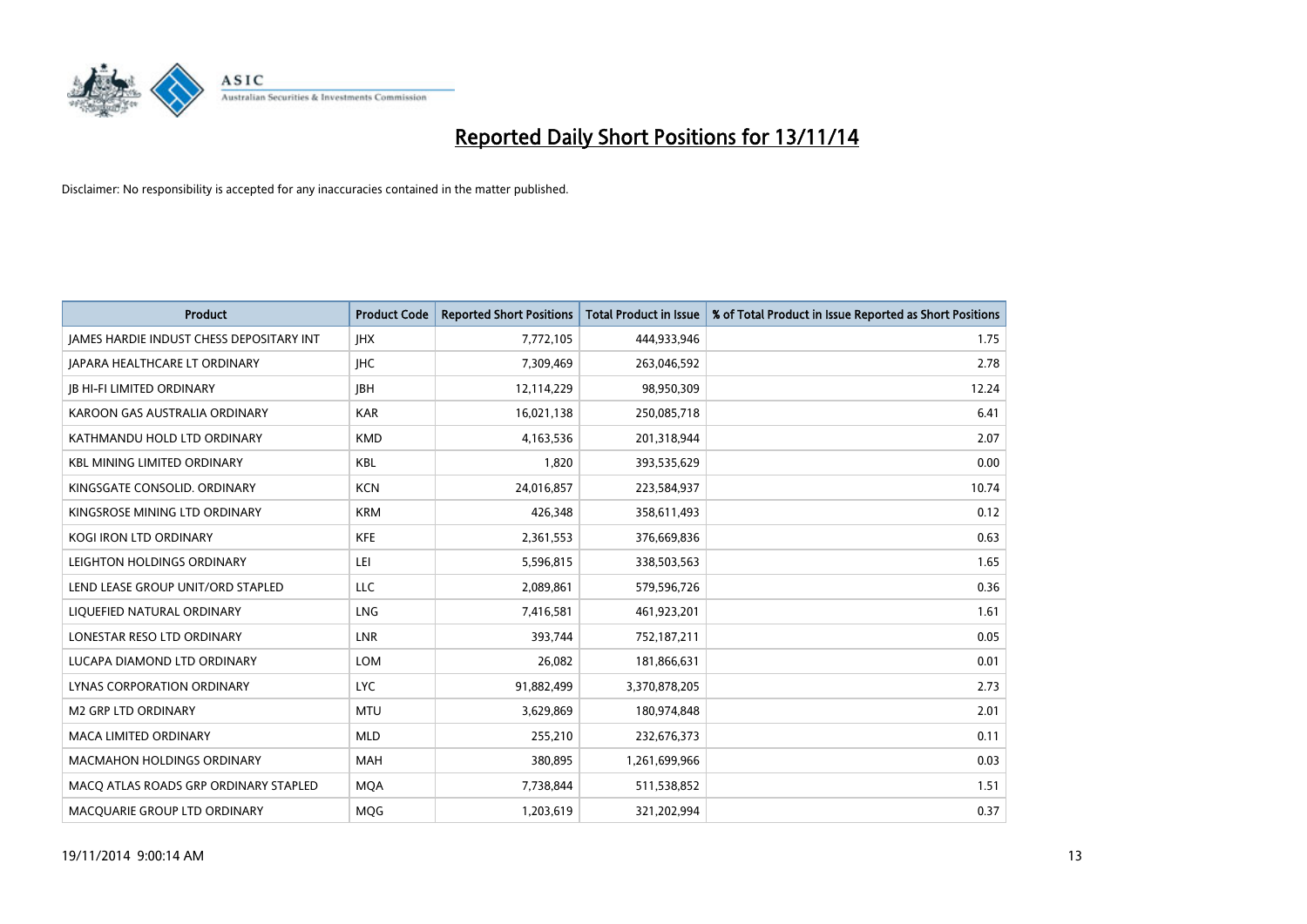

| <b>Product</b>                                  | <b>Product Code</b> | <b>Reported Short Positions</b> | <b>Total Product in Issue</b> | % of Total Product in Issue Reported as Short Positions |
|-------------------------------------------------|---------------------|---------------------------------|-------------------------------|---------------------------------------------------------|
| <b>JAMES HARDIE INDUST CHESS DEPOSITARY INT</b> | <b>IHX</b>          | 7,772,105                       | 444,933,946                   | 1.75                                                    |
| JAPARA HEALTHCARE LT ORDINARY                   | <b>IHC</b>          | 7,309,469                       | 263,046,592                   | 2.78                                                    |
| <b>IB HI-FI LIMITED ORDINARY</b>                | <b>IBH</b>          | 12,114,229                      | 98,950,309                    | 12.24                                                   |
| KAROON GAS AUSTRALIA ORDINARY                   | <b>KAR</b>          | 16,021,138                      | 250,085,718                   | 6.41                                                    |
| KATHMANDU HOLD LTD ORDINARY                     | <b>KMD</b>          | 4,163,536                       | 201,318,944                   | 2.07                                                    |
| <b>KBL MINING LIMITED ORDINARY</b>              | KBL                 | 1,820                           | 393,535,629                   | 0.00                                                    |
| KINGSGATE CONSOLID. ORDINARY                    | <b>KCN</b>          | 24,016,857                      | 223,584,937                   | 10.74                                                   |
| KINGSROSE MINING LTD ORDINARY                   | <b>KRM</b>          | 426,348                         | 358,611,493                   | 0.12                                                    |
| KOGI IRON LTD ORDINARY                          | <b>KFE</b>          | 2,361,553                       | 376,669,836                   | 0.63                                                    |
| LEIGHTON HOLDINGS ORDINARY                      | LEI                 | 5,596,815                       | 338,503,563                   | 1.65                                                    |
| LEND LEASE GROUP UNIT/ORD STAPLED               | <b>LLC</b>          | 2,089,861                       | 579,596,726                   | 0.36                                                    |
| LIQUEFIED NATURAL ORDINARY                      | LNG                 | 7,416,581                       | 461,923,201                   | 1.61                                                    |
| LONESTAR RESO LTD ORDINARY                      | <b>LNR</b>          | 393,744                         | 752,187,211                   | 0.05                                                    |
| LUCAPA DIAMOND LTD ORDINARY                     | <b>LOM</b>          | 26,082                          | 181,866,631                   | 0.01                                                    |
| LYNAS CORPORATION ORDINARY                      | <b>LYC</b>          | 91,882,499                      | 3,370,878,205                 | 2.73                                                    |
| <b>M2 GRP LTD ORDINARY</b>                      | <b>MTU</b>          | 3,629,869                       | 180,974,848                   | 2.01                                                    |
| <b>MACA LIMITED ORDINARY</b>                    | <b>MLD</b>          | 255,210                         | 232,676,373                   | 0.11                                                    |
| <b>MACMAHON HOLDINGS ORDINARY</b>               | <b>MAH</b>          | 380,895                         | 1,261,699,966                 | 0.03                                                    |
| MACO ATLAS ROADS GRP ORDINARY STAPLED           | <b>MOA</b>          | 7,738,844                       | 511,538,852                   | 1.51                                                    |
| MACQUARIE GROUP LTD ORDINARY                    | MQG                 | 1,203,619                       | 321,202,994                   | 0.37                                                    |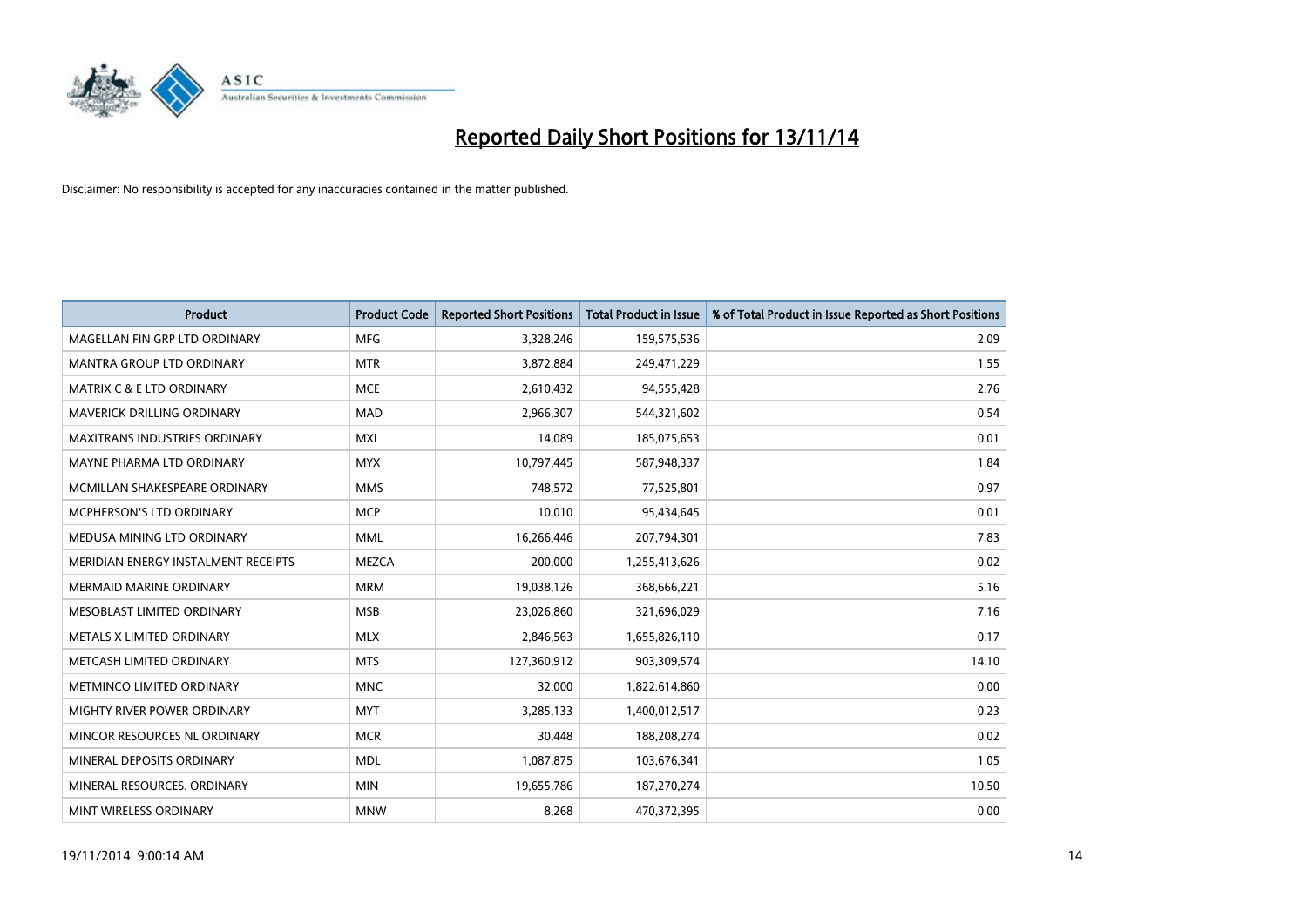

| <b>Product</b>                       | <b>Product Code</b> | <b>Reported Short Positions</b> | <b>Total Product in Issue</b> | % of Total Product in Issue Reported as Short Positions |
|--------------------------------------|---------------------|---------------------------------|-------------------------------|---------------------------------------------------------|
| MAGELLAN FIN GRP LTD ORDINARY        | <b>MFG</b>          | 3,328,246                       | 159,575,536                   | 2.09                                                    |
| MANTRA GROUP LTD ORDINARY            | <b>MTR</b>          | 3,872,884                       | 249,471,229                   | 1.55                                                    |
| <b>MATRIX C &amp; E LTD ORDINARY</b> | <b>MCE</b>          | 2,610,432                       | 94,555,428                    | 2.76                                                    |
| MAVERICK DRILLING ORDINARY           | <b>MAD</b>          | 2,966,307                       | 544,321,602                   | 0.54                                                    |
| <b>MAXITRANS INDUSTRIES ORDINARY</b> | <b>MXI</b>          | 14,089                          | 185,075,653                   | 0.01                                                    |
| MAYNE PHARMA LTD ORDINARY            | <b>MYX</b>          | 10,797,445                      | 587,948,337                   | 1.84                                                    |
| MCMILLAN SHAKESPEARE ORDINARY        | <b>MMS</b>          | 748,572                         | 77,525,801                    | 0.97                                                    |
| MCPHERSON'S LTD ORDINARY             | <b>MCP</b>          | 10,010                          | 95,434,645                    | 0.01                                                    |
| MEDUSA MINING LTD ORDINARY           | <b>MML</b>          | 16,266,446                      | 207,794,301                   | 7.83                                                    |
| MERIDIAN ENERGY INSTALMENT RECEIPTS  | <b>MEZCA</b>        | 200,000                         | 1,255,413,626                 | 0.02                                                    |
| MERMAID MARINE ORDINARY              | <b>MRM</b>          | 19,038,126                      | 368,666,221                   | 5.16                                                    |
| MESOBLAST LIMITED ORDINARY           | <b>MSB</b>          | 23,026,860                      | 321,696,029                   | 7.16                                                    |
| METALS X LIMITED ORDINARY            | <b>MLX</b>          | 2,846,563                       | 1,655,826,110                 | 0.17                                                    |
| METCASH LIMITED ORDINARY             | <b>MTS</b>          | 127,360,912                     | 903,309,574                   | 14.10                                                   |
| METMINCO LIMITED ORDINARY            | <b>MNC</b>          | 32,000                          | 1,822,614,860                 | 0.00                                                    |
| MIGHTY RIVER POWER ORDINARY          | <b>MYT</b>          | 3,285,133                       | 1,400,012,517                 | 0.23                                                    |
| MINCOR RESOURCES NL ORDINARY         | <b>MCR</b>          | 30,448                          | 188,208,274                   | 0.02                                                    |
| MINERAL DEPOSITS ORDINARY            | <b>MDL</b>          | 1,087,875                       | 103,676,341                   | 1.05                                                    |
| MINERAL RESOURCES, ORDINARY          | <b>MIN</b>          | 19,655,786                      | 187,270,274                   | 10.50                                                   |
| MINT WIRELESS ORDINARY               | <b>MNW</b>          | 8,268                           | 470,372,395                   | 0.00                                                    |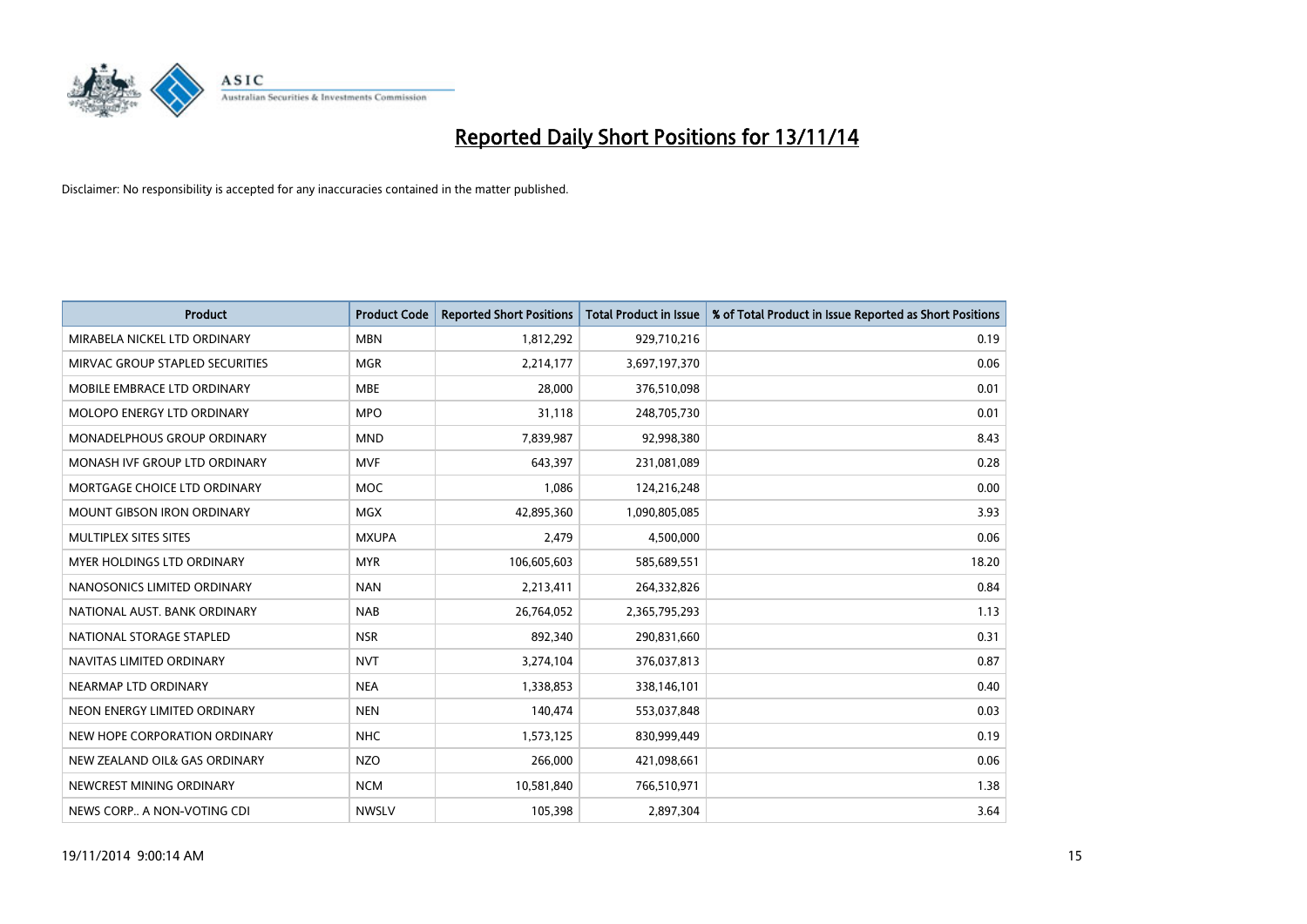

| <b>Product</b>                  | <b>Product Code</b> | <b>Reported Short Positions</b> | <b>Total Product in Issue</b> | % of Total Product in Issue Reported as Short Positions |
|---------------------------------|---------------------|---------------------------------|-------------------------------|---------------------------------------------------------|
| MIRABELA NICKEL LTD ORDINARY    | <b>MBN</b>          | 1,812,292                       | 929,710,216                   | 0.19                                                    |
| MIRVAC GROUP STAPLED SECURITIES | <b>MGR</b>          | 2,214,177                       | 3,697,197,370                 | 0.06                                                    |
| MOBILE EMBRACE LTD ORDINARY     | <b>MBE</b>          | 28,000                          | 376,510,098                   | 0.01                                                    |
| MOLOPO ENERGY LTD ORDINARY      | <b>MPO</b>          | 31,118                          | 248,705,730                   | 0.01                                                    |
| MONADELPHOUS GROUP ORDINARY     | <b>MND</b>          | 7,839,987                       | 92,998,380                    | 8.43                                                    |
| MONASH IVF GROUP LTD ORDINARY   | <b>MVF</b>          | 643,397                         | 231,081,089                   | 0.28                                                    |
| MORTGAGE CHOICE LTD ORDINARY    | MOC                 | 1,086                           | 124,216,248                   | 0.00                                                    |
| MOUNT GIBSON IRON ORDINARY      | <b>MGX</b>          | 42,895,360                      | 1,090,805,085                 | 3.93                                                    |
| MULTIPLEX SITES SITES           | <b>MXUPA</b>        | 2,479                           | 4,500,000                     | 0.06                                                    |
| MYER HOLDINGS LTD ORDINARY      | <b>MYR</b>          | 106,605,603                     | 585,689,551                   | 18.20                                                   |
| NANOSONICS LIMITED ORDINARY     | <b>NAN</b>          | 2,213,411                       | 264,332,826                   | 0.84                                                    |
| NATIONAL AUST. BANK ORDINARY    | <b>NAB</b>          | 26,764,052                      | 2,365,795,293                 | 1.13                                                    |
| NATIONAL STORAGE STAPLED        | <b>NSR</b>          | 892,340                         | 290,831,660                   | 0.31                                                    |
| NAVITAS LIMITED ORDINARY        | <b>NVT</b>          | 3,274,104                       | 376,037,813                   | 0.87                                                    |
| NEARMAP LTD ORDINARY            | <b>NEA</b>          | 1,338,853                       | 338,146,101                   | 0.40                                                    |
| NEON ENERGY LIMITED ORDINARY    | <b>NEN</b>          | 140,474                         | 553,037,848                   | 0.03                                                    |
| NEW HOPE CORPORATION ORDINARY   | <b>NHC</b>          | 1,573,125                       | 830,999,449                   | 0.19                                                    |
| NEW ZEALAND OIL& GAS ORDINARY   | <b>NZO</b>          | 266,000                         | 421,098,661                   | 0.06                                                    |
| NEWCREST MINING ORDINARY        | <b>NCM</b>          | 10,581,840                      | 766,510,971                   | 1.38                                                    |
| NEWS CORP A NON-VOTING CDI      | <b>NWSLV</b>        | 105,398                         | 2,897,304                     | 3.64                                                    |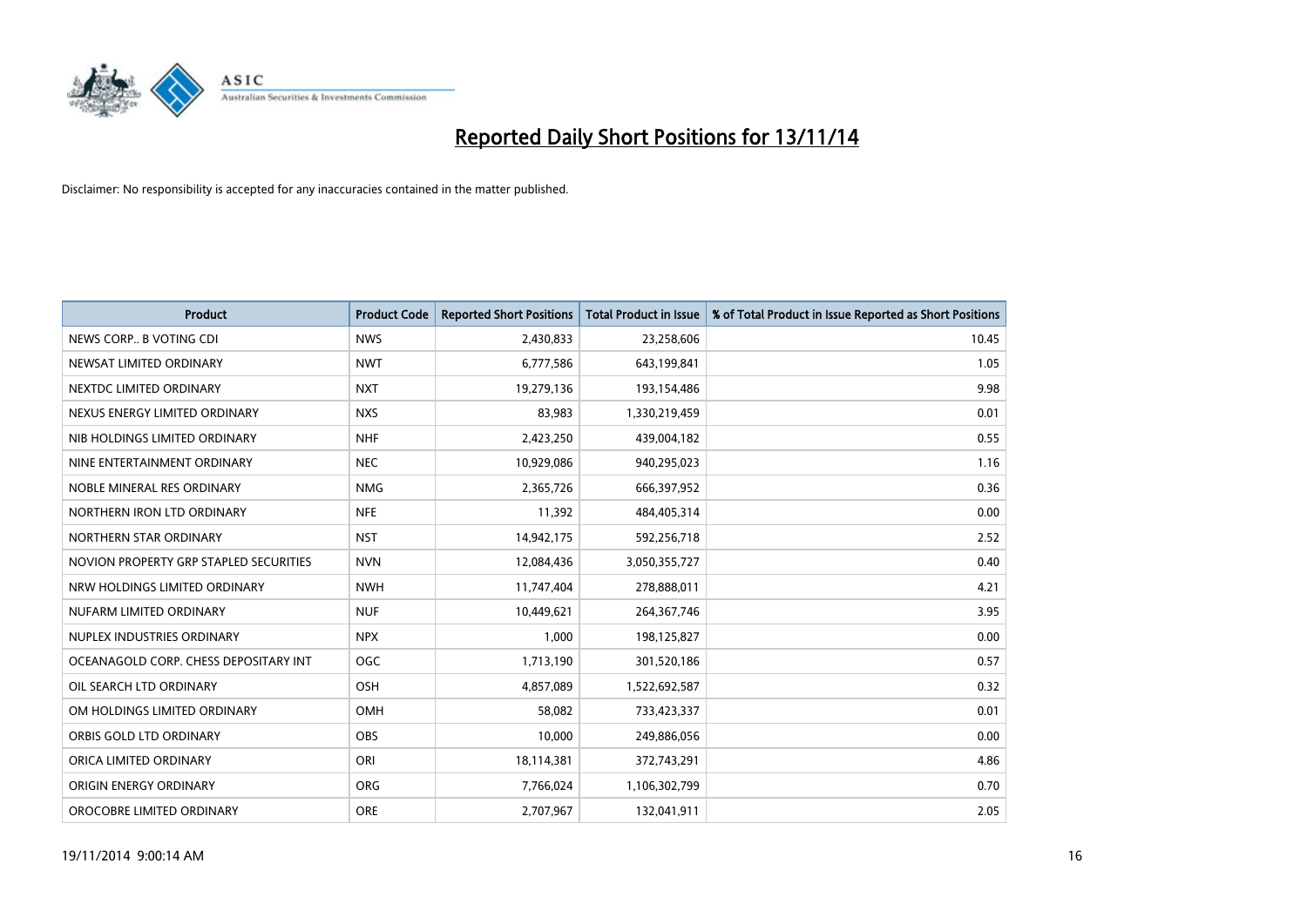

| <b>Product</b>                         | <b>Product Code</b> | <b>Reported Short Positions</b> | <b>Total Product in Issue</b> | % of Total Product in Issue Reported as Short Positions |
|----------------------------------------|---------------------|---------------------------------|-------------------------------|---------------------------------------------------------|
| NEWS CORP B VOTING CDI                 | <b>NWS</b>          | 2,430,833                       | 23,258,606                    | 10.45                                                   |
| NEWSAT LIMITED ORDINARY                | <b>NWT</b>          | 6,777,586                       | 643,199,841                   | 1.05                                                    |
| NEXTDC LIMITED ORDINARY                | <b>NXT</b>          | 19,279,136                      | 193,154,486                   | 9.98                                                    |
| NEXUS ENERGY LIMITED ORDINARY          | <b>NXS</b>          | 83,983                          | 1,330,219,459                 | 0.01                                                    |
| NIB HOLDINGS LIMITED ORDINARY          | <b>NHF</b>          | 2,423,250                       | 439,004,182                   | 0.55                                                    |
| NINE ENTERTAINMENT ORDINARY            | <b>NEC</b>          | 10,929,086                      | 940,295,023                   | 1.16                                                    |
| NOBLE MINERAL RES ORDINARY             | <b>NMG</b>          | 2,365,726                       | 666,397,952                   | 0.36                                                    |
| NORTHERN IRON LTD ORDINARY             | <b>NFE</b>          | 11,392                          | 484,405,314                   | 0.00                                                    |
| NORTHERN STAR ORDINARY                 | <b>NST</b>          | 14,942,175                      | 592,256,718                   | 2.52                                                    |
| NOVION PROPERTY GRP STAPLED SECURITIES | <b>NVN</b>          | 12,084,436                      | 3,050,355,727                 | 0.40                                                    |
| NRW HOLDINGS LIMITED ORDINARY          | <b>NWH</b>          | 11,747,404                      | 278,888,011                   | 4.21                                                    |
| NUFARM LIMITED ORDINARY                | <b>NUF</b>          | 10,449,621                      | 264, 367, 746                 | 3.95                                                    |
| NUPLEX INDUSTRIES ORDINARY             | <b>NPX</b>          | 1,000                           | 198,125,827                   | 0.00                                                    |
| OCEANAGOLD CORP. CHESS DEPOSITARY INT  | <b>OGC</b>          | 1,713,190                       | 301,520,186                   | 0.57                                                    |
| OIL SEARCH LTD ORDINARY                | OSH                 | 4,857,089                       | 1,522,692,587                 | 0.32                                                    |
| OM HOLDINGS LIMITED ORDINARY           | OMH                 | 58,082                          | 733,423,337                   | 0.01                                                    |
| ORBIS GOLD LTD ORDINARY                | OBS                 | 10,000                          | 249,886,056                   | 0.00                                                    |
| ORICA LIMITED ORDINARY                 | ORI                 | 18,114,381                      | 372,743,291                   | 4.86                                                    |
| ORIGIN ENERGY ORDINARY                 | <b>ORG</b>          | 7,766,024                       | 1,106,302,799                 | 0.70                                                    |
| OROCOBRE LIMITED ORDINARY              | <b>ORE</b>          | 2,707,967                       | 132,041,911                   | 2.05                                                    |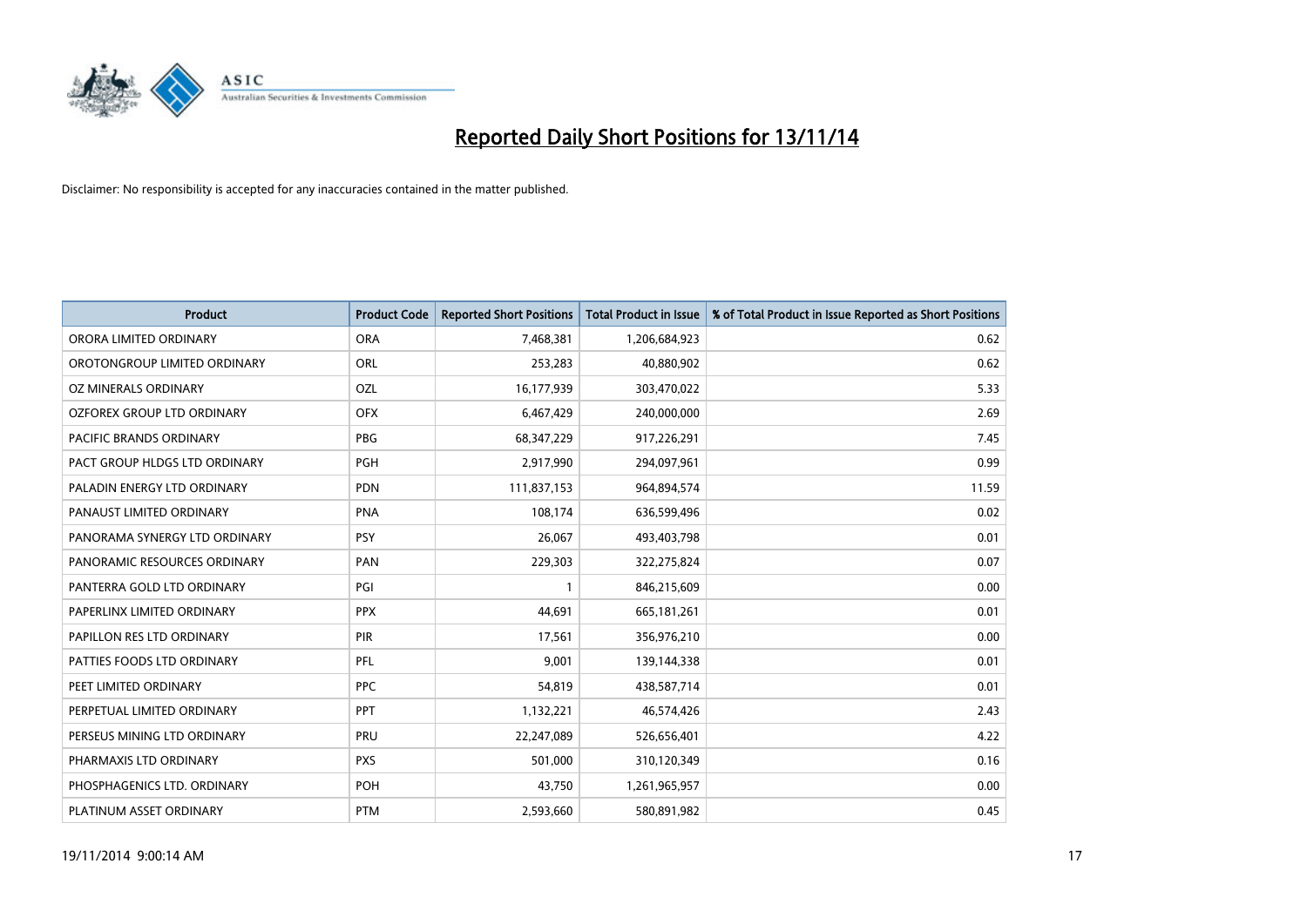

| <b>Product</b>                 | <b>Product Code</b> | <b>Reported Short Positions</b> | <b>Total Product in Issue</b> | % of Total Product in Issue Reported as Short Positions |
|--------------------------------|---------------------|---------------------------------|-------------------------------|---------------------------------------------------------|
| ORORA LIMITED ORDINARY         | <b>ORA</b>          | 7,468,381                       | 1,206,684,923                 | 0.62                                                    |
| OROTONGROUP LIMITED ORDINARY   | ORL                 | 253,283                         | 40,880,902                    | 0.62                                                    |
| OZ MINERALS ORDINARY           | <b>OZL</b>          | 16,177,939                      | 303,470,022                   | 5.33                                                    |
| OZFOREX GROUP LTD ORDINARY     | <b>OFX</b>          | 6,467,429                       | 240,000,000                   | 2.69                                                    |
| <b>PACIFIC BRANDS ORDINARY</b> | <b>PBG</b>          | 68,347,229                      | 917,226,291                   | 7.45                                                    |
| PACT GROUP HLDGS LTD ORDINARY  | <b>PGH</b>          | 2,917,990                       | 294,097,961                   | 0.99                                                    |
| PALADIN ENERGY LTD ORDINARY    | <b>PDN</b>          | 111,837,153                     | 964,894,574                   | 11.59                                                   |
| PANAUST LIMITED ORDINARY       | <b>PNA</b>          | 108,174                         | 636,599,496                   | 0.02                                                    |
| PANORAMA SYNERGY LTD ORDINARY  | <b>PSY</b>          | 26,067                          | 493,403,798                   | 0.01                                                    |
| PANORAMIC RESOURCES ORDINARY   | PAN                 | 229,303                         | 322,275,824                   | 0.07                                                    |
| PANTERRA GOLD LTD ORDINARY     | PGI                 | $\mathbf{1}$                    | 846,215,609                   | 0.00                                                    |
| PAPERLINX LIMITED ORDINARY     | <b>PPX</b>          | 44,691                          | 665,181,261                   | 0.01                                                    |
| PAPILLON RES LTD ORDINARY      | PIR                 | 17,561                          | 356,976,210                   | 0.00                                                    |
| PATTIES FOODS LTD ORDINARY     | PFL                 | 9,001                           | 139,144,338                   | 0.01                                                    |
| PEET LIMITED ORDINARY          | <b>PPC</b>          | 54,819                          | 438,587,714                   | 0.01                                                    |
| PERPETUAL LIMITED ORDINARY     | PPT                 | 1,132,221                       | 46,574,426                    | 2.43                                                    |
| PERSEUS MINING LTD ORDINARY    | PRU                 | 22,247,089                      | 526,656,401                   | 4.22                                                    |
| PHARMAXIS LTD ORDINARY         | <b>PXS</b>          | 501,000                         | 310,120,349                   | 0.16                                                    |
| PHOSPHAGENICS LTD. ORDINARY    | POH                 | 43,750                          | 1,261,965,957                 | 0.00                                                    |
| PLATINUM ASSET ORDINARY        | <b>PTM</b>          | 2,593,660                       | 580,891,982                   | 0.45                                                    |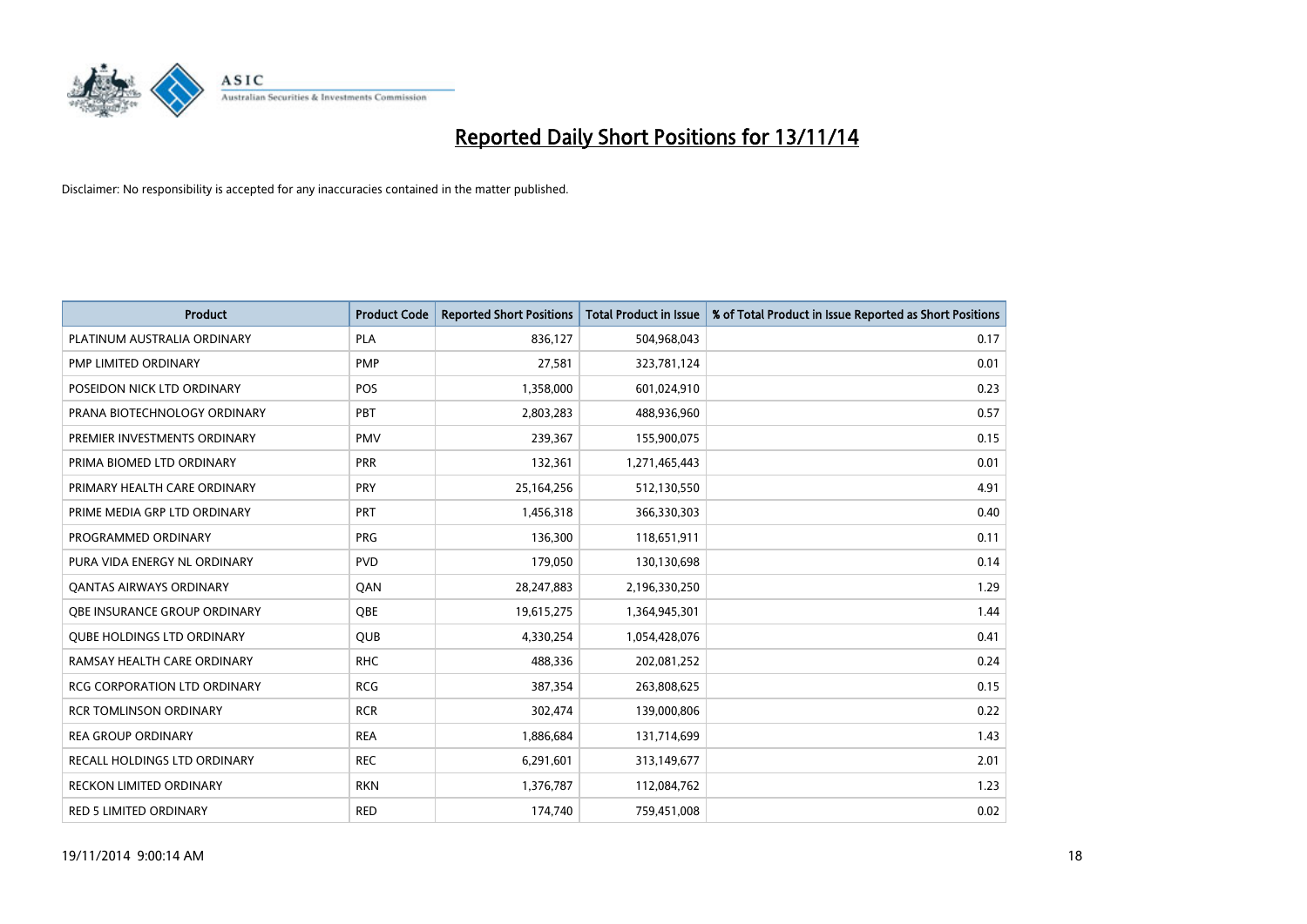

| <b>Product</b>                      | <b>Product Code</b> | <b>Reported Short Positions</b> | <b>Total Product in Issue</b> | % of Total Product in Issue Reported as Short Positions |
|-------------------------------------|---------------------|---------------------------------|-------------------------------|---------------------------------------------------------|
| PLATINUM AUSTRALIA ORDINARY         | <b>PLA</b>          | 836,127                         | 504,968,043                   | 0.17                                                    |
| PMP LIMITED ORDINARY                | <b>PMP</b>          | 27,581                          | 323,781,124                   | 0.01                                                    |
| POSEIDON NICK LTD ORDINARY          | <b>POS</b>          | 1,358,000                       | 601,024,910                   | 0.23                                                    |
| PRANA BIOTECHNOLOGY ORDINARY        | <b>PBT</b>          | 2,803,283                       | 488,936,960                   | 0.57                                                    |
| PREMIER INVESTMENTS ORDINARY        | <b>PMV</b>          | 239,367                         | 155,900,075                   | 0.15                                                    |
| PRIMA BIOMED LTD ORDINARY           | PRR                 | 132,361                         | 1,271,465,443                 | 0.01                                                    |
| PRIMARY HEALTH CARE ORDINARY        | <b>PRY</b>          | 25,164,256                      | 512,130,550                   | 4.91                                                    |
| PRIME MEDIA GRP LTD ORDINARY        | <b>PRT</b>          | 1,456,318                       | 366,330,303                   | 0.40                                                    |
| PROGRAMMED ORDINARY                 | <b>PRG</b>          | 136,300                         | 118,651,911                   | 0.11                                                    |
| PURA VIDA ENERGY NL ORDINARY        | <b>PVD</b>          | 179,050                         | 130,130,698                   | 0.14                                                    |
| <b>QANTAS AIRWAYS ORDINARY</b>      | QAN                 | 28,247,883                      | 2,196,330,250                 | 1.29                                                    |
| <b>OBE INSURANCE GROUP ORDINARY</b> | <b>OBE</b>          | 19,615,275                      | 1,364,945,301                 | 1.44                                                    |
| <b>QUBE HOLDINGS LTD ORDINARY</b>   | <b>QUB</b>          | 4,330,254                       | 1,054,428,076                 | 0.41                                                    |
| RAMSAY HEALTH CARE ORDINARY         | <b>RHC</b>          | 488,336                         | 202,081,252                   | 0.24                                                    |
| <b>RCG CORPORATION LTD ORDINARY</b> | <b>RCG</b>          | 387,354                         | 263,808,625                   | 0.15                                                    |
| <b>RCR TOMLINSON ORDINARY</b>       | <b>RCR</b>          | 302,474                         | 139,000,806                   | 0.22                                                    |
| <b>REA GROUP ORDINARY</b>           | <b>REA</b>          | 1,886,684                       | 131,714,699                   | 1.43                                                    |
| RECALL HOLDINGS LTD ORDINARY        | <b>REC</b>          | 6,291,601                       | 313,149,677                   | 2.01                                                    |
| <b>RECKON LIMITED ORDINARY</b>      | <b>RKN</b>          | 1,376,787                       | 112,084,762                   | 1.23                                                    |
| RED 5 LIMITED ORDINARY              | <b>RED</b>          | 174,740                         | 759,451,008                   | 0.02                                                    |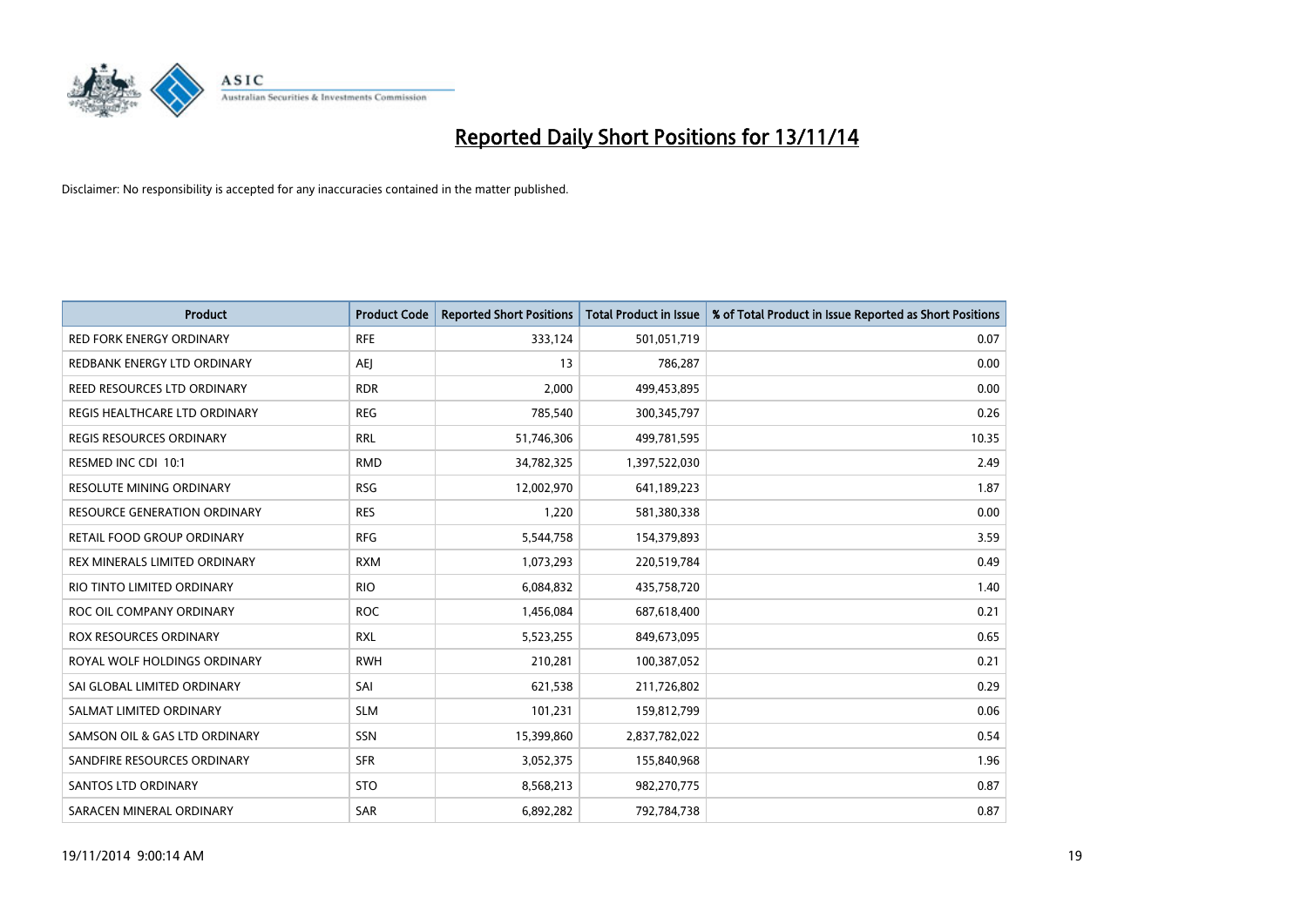

| <b>Product</b>                    | <b>Product Code</b> | <b>Reported Short Positions</b> | <b>Total Product in Issue</b> | % of Total Product in Issue Reported as Short Positions |
|-----------------------------------|---------------------|---------------------------------|-------------------------------|---------------------------------------------------------|
| <b>RED FORK ENERGY ORDINARY</b>   | <b>RFE</b>          | 333,124                         | 501,051,719                   | 0.07                                                    |
| REDBANK ENERGY LTD ORDINARY       | AEJ                 | 13                              | 786,287                       | 0.00                                                    |
| REED RESOURCES LTD ORDINARY       | <b>RDR</b>          | 2,000                           | 499,453,895                   | 0.00                                                    |
| REGIS HEALTHCARE LTD ORDINARY     | <b>REG</b>          | 785,540                         | 300,345,797                   | 0.26                                                    |
| <b>REGIS RESOURCES ORDINARY</b>   | <b>RRL</b>          | 51,746,306                      | 499,781,595                   | 10.35                                                   |
| RESMED INC CDI 10:1               | <b>RMD</b>          | 34,782,325                      | 1,397,522,030                 | 2.49                                                    |
| <b>RESOLUTE MINING ORDINARY</b>   | <b>RSG</b>          | 12,002,970                      | 641,189,223                   | 1.87                                                    |
| RESOURCE GENERATION ORDINARY      | <b>RES</b>          | 1,220                           | 581,380,338                   | 0.00                                                    |
| <b>RETAIL FOOD GROUP ORDINARY</b> | <b>RFG</b>          | 5,544,758                       | 154,379,893                   | 3.59                                                    |
| REX MINERALS LIMITED ORDINARY     | <b>RXM</b>          | 1,073,293                       | 220,519,784                   | 0.49                                                    |
| RIO TINTO LIMITED ORDINARY        | <b>RIO</b>          | 6,084,832                       | 435,758,720                   | 1.40                                                    |
| ROC OIL COMPANY ORDINARY          | <b>ROC</b>          | 1,456,084                       | 687,618,400                   | 0.21                                                    |
| ROX RESOURCES ORDINARY            | <b>RXL</b>          | 5,523,255                       | 849,673,095                   | 0.65                                                    |
| ROYAL WOLF HOLDINGS ORDINARY      | <b>RWH</b>          | 210,281                         | 100,387,052                   | 0.21                                                    |
| SAI GLOBAL LIMITED ORDINARY       | SAI                 | 621,538                         | 211,726,802                   | 0.29                                                    |
| SALMAT LIMITED ORDINARY           | <b>SLM</b>          | 101,231                         | 159,812,799                   | 0.06                                                    |
| SAMSON OIL & GAS LTD ORDINARY     | SSN                 | 15,399,860                      | 2,837,782,022                 | 0.54                                                    |
| SANDFIRE RESOURCES ORDINARY       | <b>SFR</b>          | 3,052,375                       | 155,840,968                   | 1.96                                                    |
| SANTOS LTD ORDINARY               | <b>STO</b>          | 8,568,213                       | 982,270,775                   | 0.87                                                    |
| SARACEN MINERAL ORDINARY          | SAR                 | 6,892,282                       | 792,784,738                   | 0.87                                                    |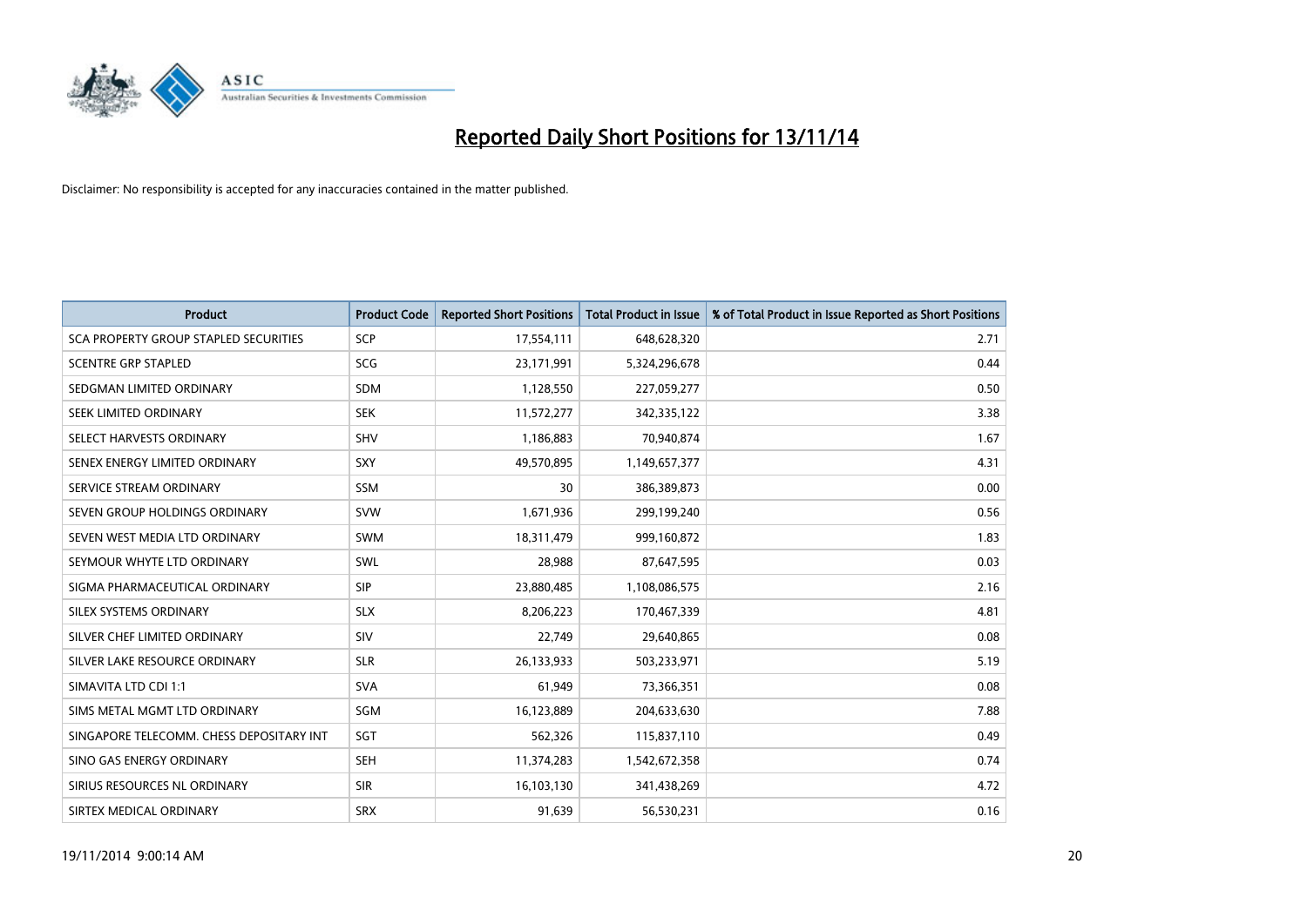

| <b>Product</b>                           | <b>Product Code</b> | <b>Reported Short Positions</b> | <b>Total Product in Issue</b> | % of Total Product in Issue Reported as Short Positions |
|------------------------------------------|---------------------|---------------------------------|-------------------------------|---------------------------------------------------------|
| SCA PROPERTY GROUP STAPLED SECURITIES    | SCP                 | 17,554,111                      | 648,628,320                   | 2.71                                                    |
| <b>SCENTRE GRP STAPLED</b>               | <b>SCG</b>          | 23,171,991                      | 5,324,296,678                 | 0.44                                                    |
| SEDGMAN LIMITED ORDINARY                 | <b>SDM</b>          | 1,128,550                       | 227,059,277                   | 0.50                                                    |
| SEEK LIMITED ORDINARY                    | <b>SEK</b>          | 11,572,277                      | 342,335,122                   | 3.38                                                    |
| SELECT HARVESTS ORDINARY                 | SHV                 | 1,186,883                       | 70.940.874                    | 1.67                                                    |
| SENEX ENERGY LIMITED ORDINARY            | SXY                 | 49,570,895                      | 1,149,657,377                 | 4.31                                                    |
| SERVICE STREAM ORDINARY                  | <b>SSM</b>          | 30                              | 386,389,873                   | 0.00                                                    |
| SEVEN GROUP HOLDINGS ORDINARY            | <b>SVW</b>          | 1,671,936                       | 299,199,240                   | 0.56                                                    |
| SEVEN WEST MEDIA LTD ORDINARY            | <b>SWM</b>          | 18,311,479                      | 999,160,872                   | 1.83                                                    |
| SEYMOUR WHYTE LTD ORDINARY               | <b>SWL</b>          | 28,988                          | 87,647,595                    | 0.03                                                    |
| SIGMA PHARMACEUTICAL ORDINARY            | <b>SIP</b>          | 23,880,485                      | 1,108,086,575                 | 2.16                                                    |
| SILEX SYSTEMS ORDINARY                   | <b>SLX</b>          | 8,206,223                       | 170,467,339                   | 4.81                                                    |
| SILVER CHEF LIMITED ORDINARY             | SIV                 | 22,749                          | 29,640,865                    | 0.08                                                    |
| SILVER LAKE RESOURCE ORDINARY            | <b>SLR</b>          | 26,133,933                      | 503,233,971                   | 5.19                                                    |
| SIMAVITA LTD CDI 1:1                     | <b>SVA</b>          | 61,949                          | 73,366,351                    | 0.08                                                    |
| SIMS METAL MGMT LTD ORDINARY             | SGM                 | 16,123,889                      | 204,633,630                   | 7.88                                                    |
| SINGAPORE TELECOMM. CHESS DEPOSITARY INT | SGT                 | 562,326                         | 115,837,110                   | 0.49                                                    |
| SINO GAS ENERGY ORDINARY                 | <b>SEH</b>          | 11,374,283                      | 1,542,672,358                 | 0.74                                                    |
| SIRIUS RESOURCES NL ORDINARY             | <b>SIR</b>          | 16,103,130                      | 341,438,269                   | 4.72                                                    |
| SIRTEX MEDICAL ORDINARY                  | <b>SRX</b>          | 91,639                          | 56,530,231                    | 0.16                                                    |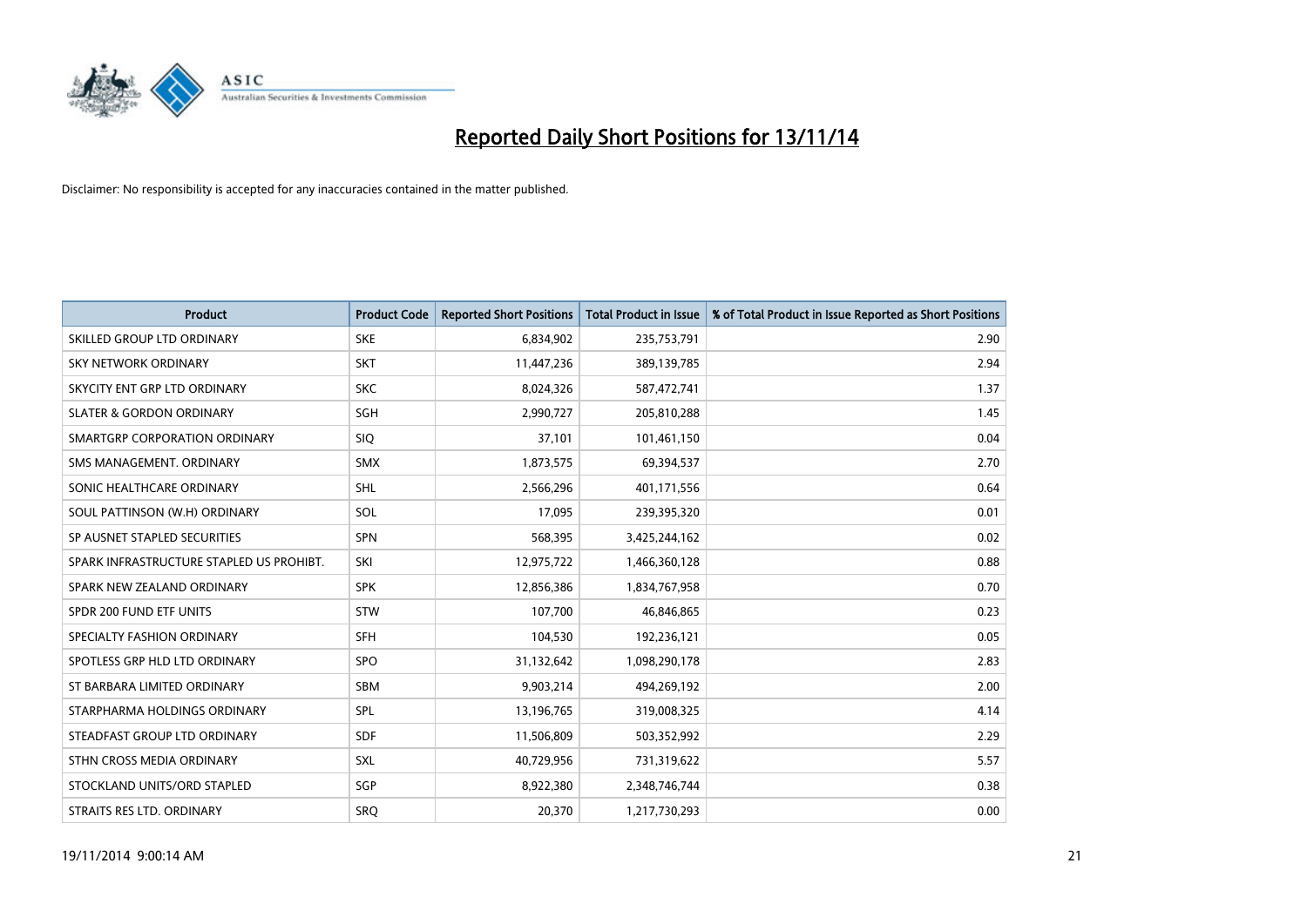

| <b>Product</b>                           | <b>Product Code</b> | <b>Reported Short Positions</b> | <b>Total Product in Issue</b> | % of Total Product in Issue Reported as Short Positions |
|------------------------------------------|---------------------|---------------------------------|-------------------------------|---------------------------------------------------------|
| SKILLED GROUP LTD ORDINARY               | <b>SKE</b>          | 6,834,902                       | 235,753,791                   | 2.90                                                    |
| SKY NETWORK ORDINARY                     | <b>SKT</b>          | 11,447,236                      | 389,139,785                   | 2.94                                                    |
| SKYCITY ENT GRP LTD ORDINARY             | <b>SKC</b>          | 8,024,326                       | 587,472,741                   | 1.37                                                    |
| <b>SLATER &amp; GORDON ORDINARY</b>      | SGH                 | 2,990,727                       | 205,810,288                   | 1.45                                                    |
| SMARTGRP CORPORATION ORDINARY            | <b>SIQ</b>          | 37,101                          | 101,461,150                   | 0.04                                                    |
| SMS MANAGEMENT, ORDINARY                 | <b>SMX</b>          | 1,873,575                       | 69,394,537                    | 2.70                                                    |
| SONIC HEALTHCARE ORDINARY                | <b>SHL</b>          | 2,566,296                       | 401,171,556                   | 0.64                                                    |
| SOUL PATTINSON (W.H) ORDINARY            | SOL                 | 17,095                          | 239,395,320                   | 0.01                                                    |
| SP AUSNET STAPLED SECURITIES             | SPN                 | 568,395                         | 3,425,244,162                 | 0.02                                                    |
| SPARK INFRASTRUCTURE STAPLED US PROHIBT. | SKI                 | 12,975,722                      | 1,466,360,128                 | 0.88                                                    |
| SPARK NEW ZEALAND ORDINARY               | <b>SPK</b>          | 12,856,386                      | 1,834,767,958                 | 0.70                                                    |
| SPDR 200 FUND ETF UNITS                  | <b>STW</b>          | 107,700                         | 46,846,865                    | 0.23                                                    |
| SPECIALTY FASHION ORDINARY               | <b>SFH</b>          | 104,530                         | 192,236,121                   | 0.05                                                    |
| SPOTLESS GRP HLD LTD ORDINARY            | <b>SPO</b>          | 31,132,642                      | 1,098,290,178                 | 2.83                                                    |
| ST BARBARA LIMITED ORDINARY              | <b>SBM</b>          | 9,903,214                       | 494,269,192                   | 2.00                                                    |
| STARPHARMA HOLDINGS ORDINARY             | SPL                 | 13,196,765                      | 319,008,325                   | 4.14                                                    |
| STEADFAST GROUP LTD ORDINARY             | SDF                 | 11,506,809                      | 503,352,992                   | 2.29                                                    |
| STHN CROSS MEDIA ORDINARY                | <b>SXL</b>          | 40,729,956                      | 731,319,622                   | 5.57                                                    |
| STOCKLAND UNITS/ORD STAPLED              | SGP                 | 8,922,380                       | 2,348,746,744                 | 0.38                                                    |
| STRAITS RES LTD. ORDINARY                | <b>SRO</b>          | 20,370                          | 1,217,730,293                 | 0.00                                                    |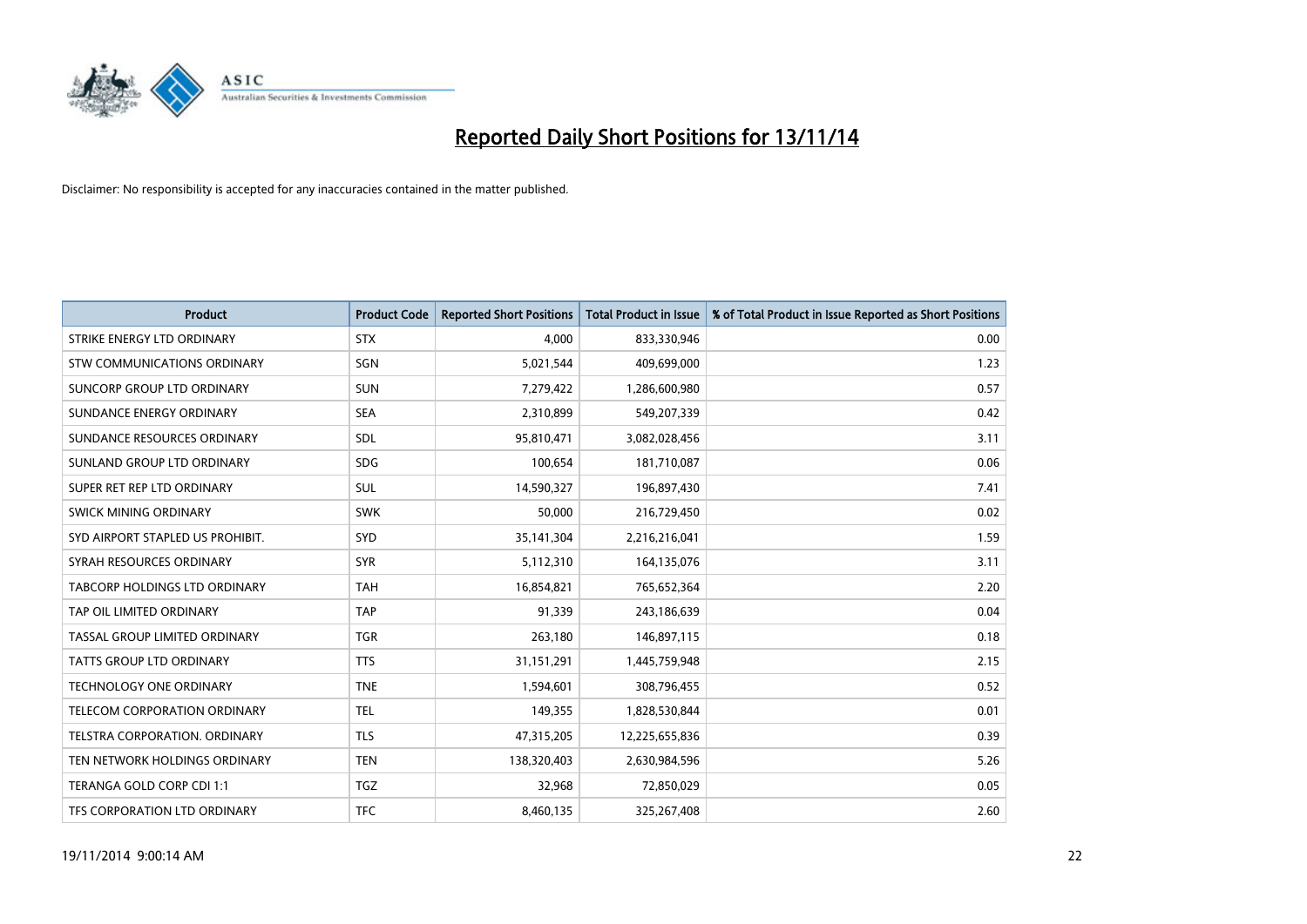

| <b>Product</b>                   | <b>Product Code</b> | <b>Reported Short Positions</b> | <b>Total Product in Issue</b> | % of Total Product in Issue Reported as Short Positions |
|----------------------------------|---------------------|---------------------------------|-------------------------------|---------------------------------------------------------|
| STRIKE ENERGY LTD ORDINARY       | <b>STX</b>          | 4.000                           | 833,330,946                   | 0.00                                                    |
| STW COMMUNICATIONS ORDINARY      | SGN                 | 5,021,544                       | 409,699,000                   | 1.23                                                    |
| SUNCORP GROUP LTD ORDINARY       | <b>SUN</b>          | 7,279,422                       | 1,286,600,980                 | 0.57                                                    |
| SUNDANCE ENERGY ORDINARY         | <b>SEA</b>          | 2,310,899                       | 549,207,339                   | 0.42                                                    |
| SUNDANCE RESOURCES ORDINARY      | <b>SDL</b>          | 95,810,471                      | 3,082,028,456                 | 3.11                                                    |
| SUNLAND GROUP LTD ORDINARY       | <b>SDG</b>          | 100,654                         | 181,710,087                   | 0.06                                                    |
| SUPER RET REP LTD ORDINARY       | SUL                 | 14,590,327                      | 196,897,430                   | 7.41                                                    |
| <b>SWICK MINING ORDINARY</b>     | <b>SWK</b>          | 50,000                          | 216,729,450                   | 0.02                                                    |
| SYD AIRPORT STAPLED US PROHIBIT. | SYD                 | 35,141,304                      | 2,216,216,041                 | 1.59                                                    |
| SYRAH RESOURCES ORDINARY         | <b>SYR</b>          | 5,112,310                       | 164,135,076                   | 3.11                                                    |
| TABCORP HOLDINGS LTD ORDINARY    | <b>TAH</b>          | 16,854,821                      | 765,652,364                   | 2.20                                                    |
| TAP OIL LIMITED ORDINARY         | <b>TAP</b>          | 91,339                          | 243,186,639                   | 0.04                                                    |
| TASSAL GROUP LIMITED ORDINARY    | <b>TGR</b>          | 263,180                         | 146,897,115                   | 0.18                                                    |
| <b>TATTS GROUP LTD ORDINARY</b>  | <b>TTS</b>          | 31,151,291                      | 1,445,759,948                 | 2.15                                                    |
| <b>TECHNOLOGY ONE ORDINARY</b>   | <b>TNE</b>          | 1,594,601                       | 308,796,455                   | 0.52                                                    |
| TELECOM CORPORATION ORDINARY     | <b>TEL</b>          | 149,355                         | 1,828,530,844                 | 0.01                                                    |
| TELSTRA CORPORATION. ORDINARY    | <b>TLS</b>          | 47,315,205                      | 12,225,655,836                | 0.39                                                    |
| TEN NETWORK HOLDINGS ORDINARY    | <b>TEN</b>          | 138,320,403                     | 2,630,984,596                 | 5.26                                                    |
| TERANGA GOLD CORP CDI 1:1        | TGZ                 | 32,968                          | 72,850,029                    | 0.05                                                    |
| TFS CORPORATION LTD ORDINARY     | <b>TFC</b>          | 8,460,135                       | 325,267,408                   | 2.60                                                    |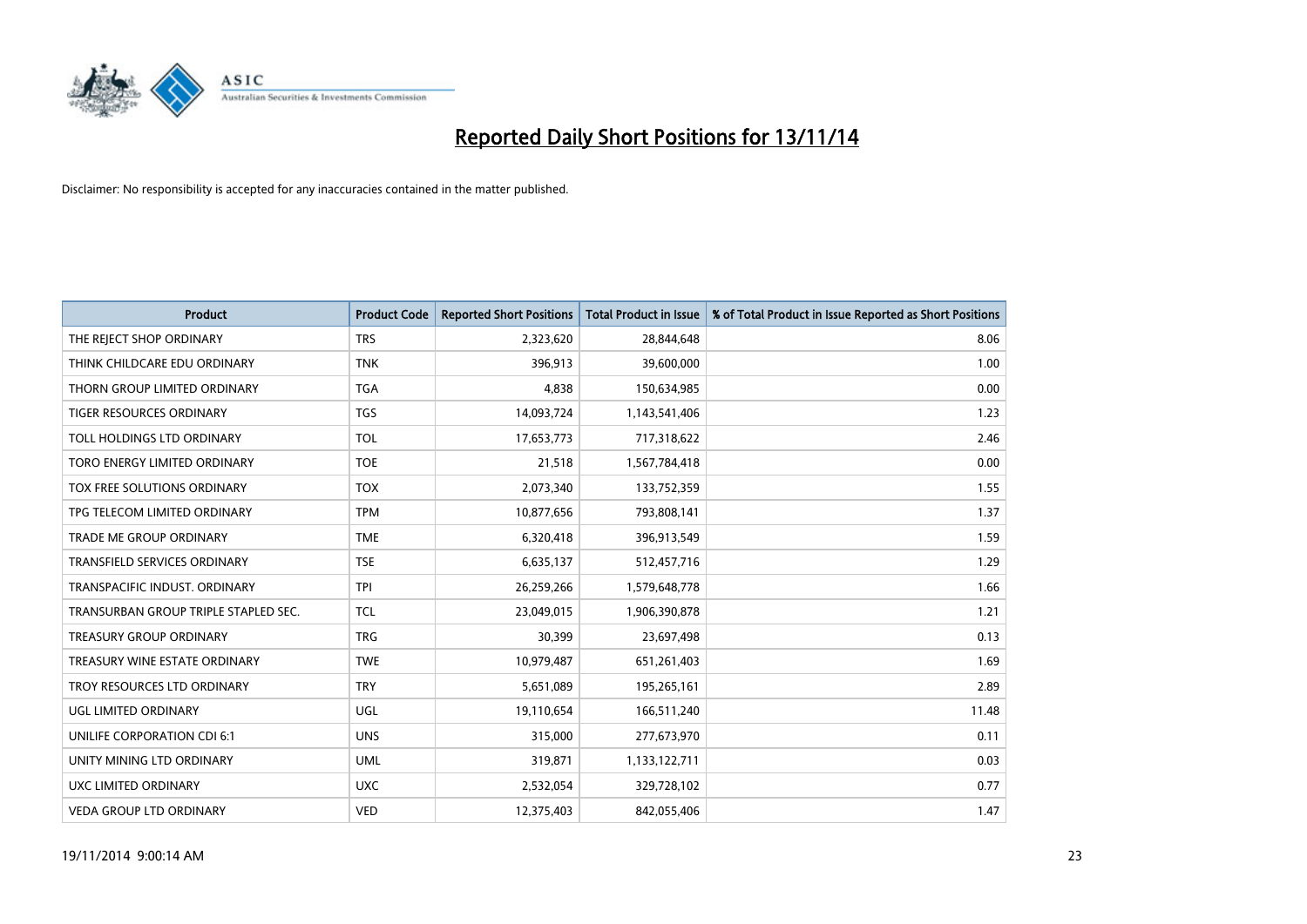

| <b>Product</b>                       | <b>Product Code</b> | <b>Reported Short Positions</b> | <b>Total Product in Issue</b> | % of Total Product in Issue Reported as Short Positions |
|--------------------------------------|---------------------|---------------------------------|-------------------------------|---------------------------------------------------------|
| THE REJECT SHOP ORDINARY             | <b>TRS</b>          | 2,323,620                       | 28,844,648                    | 8.06                                                    |
| THINK CHILDCARE EDU ORDINARY         | <b>TNK</b>          | 396,913                         | 39,600,000                    | 1.00                                                    |
| THORN GROUP LIMITED ORDINARY         | <b>TGA</b>          | 4,838                           | 150,634,985                   | 0.00                                                    |
| TIGER RESOURCES ORDINARY             | <b>TGS</b>          | 14,093,724                      | 1,143,541,406                 | 1.23                                                    |
| TOLL HOLDINGS LTD ORDINARY           | <b>TOL</b>          | 17,653,773                      | 717,318,622                   | 2.46                                                    |
| TORO ENERGY LIMITED ORDINARY         | <b>TOE</b>          | 21,518                          | 1,567,784,418                 | 0.00                                                    |
| TOX FREE SOLUTIONS ORDINARY          | <b>TOX</b>          | 2,073,340                       | 133,752,359                   | 1.55                                                    |
| TPG TELECOM LIMITED ORDINARY         | <b>TPM</b>          | 10,877,656                      | 793,808,141                   | 1.37                                                    |
| <b>TRADE ME GROUP ORDINARY</b>       | <b>TME</b>          | 6,320,418                       | 396,913,549                   | 1.59                                                    |
| <b>TRANSFIELD SERVICES ORDINARY</b>  | <b>TSE</b>          | 6,635,137                       | 512,457,716                   | 1.29                                                    |
| TRANSPACIFIC INDUST. ORDINARY        | <b>TPI</b>          | 26,259,266                      | 1,579,648,778                 | 1.66                                                    |
| TRANSURBAN GROUP TRIPLE STAPLED SEC. | <b>TCL</b>          | 23,049,015                      | 1,906,390,878                 | 1.21                                                    |
| <b>TREASURY GROUP ORDINARY</b>       | <b>TRG</b>          | 30,399                          | 23,697,498                    | 0.13                                                    |
| TREASURY WINE ESTATE ORDINARY        | <b>TWE</b>          | 10,979,487                      | 651,261,403                   | 1.69                                                    |
| TROY RESOURCES LTD ORDINARY          | <b>TRY</b>          | 5,651,089                       | 195,265,161                   | 2.89                                                    |
| UGL LIMITED ORDINARY                 | UGL                 | 19,110,654                      | 166,511,240                   | 11.48                                                   |
| UNILIFE CORPORATION CDI 6:1          | <b>UNS</b>          | 315,000                         | 277,673,970                   | 0.11                                                    |
| UNITY MINING LTD ORDINARY            | <b>UML</b>          | 319,871                         | 1,133,122,711                 | 0.03                                                    |
| UXC LIMITED ORDINARY                 | <b>UXC</b>          | 2,532,054                       | 329,728,102                   | 0.77                                                    |
| <b>VEDA GROUP LTD ORDINARY</b>       | <b>VED</b>          | 12,375,403                      | 842,055,406                   | 1.47                                                    |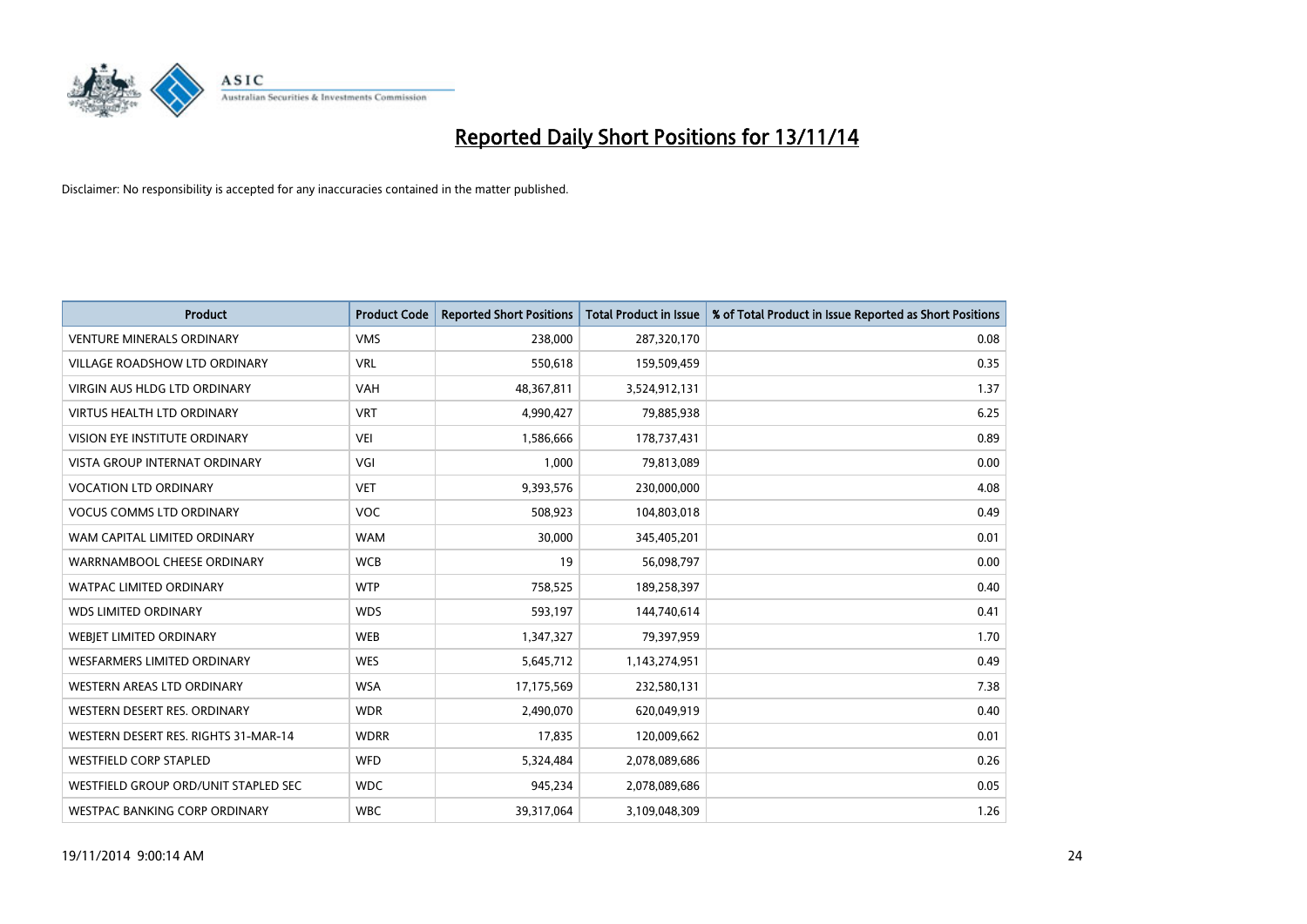

| <b>Product</b>                       | <b>Product Code</b> | <b>Reported Short Positions</b> | <b>Total Product in Issue</b> | % of Total Product in Issue Reported as Short Positions |
|--------------------------------------|---------------------|---------------------------------|-------------------------------|---------------------------------------------------------|
| <b>VENTURE MINERALS ORDINARY</b>     | <b>VMS</b>          | 238,000                         | 287,320,170                   | 0.08                                                    |
| VILLAGE ROADSHOW LTD ORDINARY        | <b>VRL</b>          | 550,618                         | 159,509,459                   | 0.35                                                    |
| <b>VIRGIN AUS HLDG LTD ORDINARY</b>  | <b>VAH</b>          | 48,367,811                      | 3,524,912,131                 | 1.37                                                    |
| <b>VIRTUS HEALTH LTD ORDINARY</b>    | <b>VRT</b>          | 4,990,427                       | 79,885,938                    | 6.25                                                    |
| <b>VISION EYE INSTITUTE ORDINARY</b> | <b>VEI</b>          | 1,586,666                       | 178,737,431                   | 0.89                                                    |
| <b>VISTA GROUP INTERNAT ORDINARY</b> | VGI                 | 1,000                           | 79,813,089                    | 0.00                                                    |
| <b>VOCATION LTD ORDINARY</b>         | <b>VET</b>          | 9,393,576                       | 230,000,000                   | 4.08                                                    |
| <b>VOCUS COMMS LTD ORDINARY</b>      | <b>VOC</b>          | 508,923                         | 104,803,018                   | 0.49                                                    |
| WAM CAPITAL LIMITED ORDINARY         | <b>WAM</b>          | 30,000                          | 345,405,201                   | 0.01                                                    |
| WARRNAMBOOL CHEESE ORDINARY          | <b>WCB</b>          | 19                              | 56,098,797                    | 0.00                                                    |
| WATPAC LIMITED ORDINARY              | <b>WTP</b>          | 758,525                         | 189,258,397                   | 0.40                                                    |
| <b>WDS LIMITED ORDINARY</b>          | <b>WDS</b>          | 593,197                         | 144,740,614                   | 0.41                                                    |
| WEBJET LIMITED ORDINARY              | <b>WEB</b>          | 1,347,327                       | 79,397,959                    | 1.70                                                    |
| <b>WESFARMERS LIMITED ORDINARY</b>   | <b>WES</b>          | 5,645,712                       | 1,143,274,951                 | 0.49                                                    |
| WESTERN AREAS LTD ORDINARY           | <b>WSA</b>          | 17,175,569                      | 232,580,131                   | 7.38                                                    |
| WESTERN DESERT RES. ORDINARY         | <b>WDR</b>          | 2,490,070                       | 620,049,919                   | 0.40                                                    |
| WESTERN DESERT RES. RIGHTS 31-MAR-14 | <b>WDRR</b>         | 17,835                          | 120,009,662                   | 0.01                                                    |
| <b>WESTFIELD CORP STAPLED</b>        | WFD                 | 5,324,484                       | 2,078,089,686                 | 0.26                                                    |
| WESTFIELD GROUP ORD/UNIT STAPLED SEC | <b>WDC</b>          | 945,234                         | 2,078,089,686                 | 0.05                                                    |
| <b>WESTPAC BANKING CORP ORDINARY</b> | <b>WBC</b>          | 39,317,064                      | 3,109,048,309                 | 1.26                                                    |